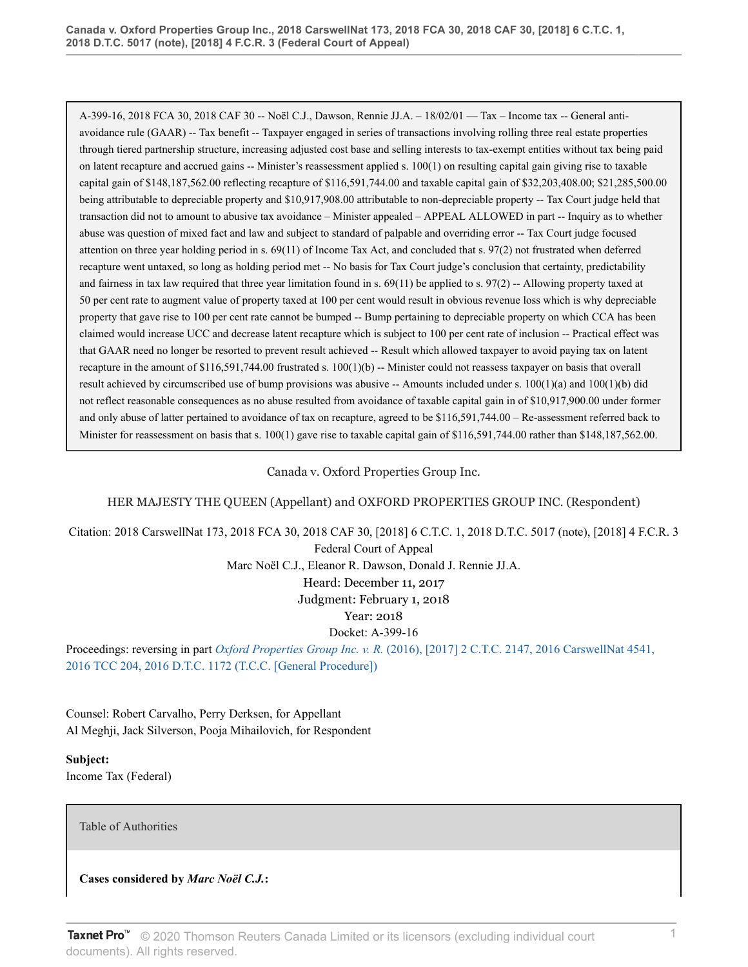A-399-16, 2018 FCA 30, 2018 CAF 30 -- Noël C.J., Dawson, Rennie JJ.A. – 18/02/01 — Tax – Income tax -- General antiavoidance rule (GAAR) -- Tax benefit -- Taxpayer engaged in series of transactions involving rolling three real estate properties through tiered partnership structure, increasing adjusted cost base and selling interests to tax-exempt entities without tax being paid on latent recapture and accrued gains -- Minister's reassessment applied s. 100(1) on resulting capital gain giving rise to taxable capital gain of \$148,187,562.00 reflecting recapture of \$116,591,744.00 and taxable capital gain of \$32,203,408.00; \$21,285,500.00 being attributable to depreciable property and \$10,917,908.00 attributable to non-depreciable property -- Tax Court judge held that transaction did not to amount to abusive tax avoidance – Minister appealed – APPEAL ALLOWED in part -- Inquiry as to whether abuse was question of mixed fact and law and subject to standard of palpable and overriding error -- Tax Court judge focused attention on three year holding period in s. 69(11) of Income Tax Act, and concluded that s. 97(2) not frustrated when deferred recapture went untaxed, so long as holding period met -- No basis for Tax Court judge's conclusion that certainty, predictability and fairness in tax law required that three year limitation found in s.  $69(11)$  be applied to s.  $97(2)$  -- Allowing property taxed at 50 per cent rate to augment value of property taxed at 100 per cent would result in obvious revenue loss which is why depreciable property that gave rise to 100 per cent rate cannot be bumped -- Bump pertaining to depreciable property on which CCA has been claimed would increase UCC and decrease latent recapture which is subject to 100 per cent rate of inclusion -- Practical effect was that GAAR need no longer be resorted to prevent result achieved -- Result which allowed taxpayer to avoid paying tax on latent recapture in the amount of \$116,591,744.00 frustrated s. 100(1)(b) -- Minister could not reassess taxpayer on basis that overall result achieved by circumscribed use of bump provisions was abusive -- Amounts included under s. 100(1)(a) and 100(1)(b) did not reflect reasonable consequences as no abuse resulted from avoidance of taxable capital gain in of \$10,917,900.00 under former and only abuse of latter pertained to avoidance of tax on recapture, agreed to be \$116,591,744.00 – Re-assessment referred back to Minister for reassessment on basis that s. 100(1) gave rise to taxable capital gain of \$116,591,744.00 rather than \$148,187,562.00.

Canada v. Oxford Properties Group Inc.

HER MAJESTY THE QUEEN (Appellant) and OXFORD PROPERTIES GROUP INC. (Respondent)

Citation: 2018 CarswellNat 173, 2018 FCA 30, 2018 CAF 30, [2018] 6 C.T.C. 1, 2018 D.T.C. 5017 (note), [2018] 4 F.C.R. 3

Federal Court of Appeal Marc Noël C.J., Eleanor R. Dawson, Donald J. Rennie JJ.A. Heard: December 11, 2017 Judgment: February 1, 2018 Year: 2018

Docket: A-399-16

Proceedings: reversing in part *Oxford Properties Group Inc. v. R.* [\(2016\), \[2017\] 2 C.T.C. 2147, 2016 CarswellNat 4541,](http://v3.taxnetpro.com/Document/I3d6bd7a9b25517ffe0540021280d79ee/View/FullText.html?originationContext=document&vr=3.0&rs=cblt1.0&transitionType=DocumentItem&contextData=(sc.Search)) [2016 TCC 204, 2016 D.T.C. 1172 \(T.C.C. \[General Procedure\]\)](http://v3.taxnetpro.com/Document/I3d6bd7a9b25517ffe0540021280d79ee/View/FullText.html?originationContext=document&vr=3.0&rs=cblt1.0&transitionType=DocumentItem&contextData=(sc.Search))

Counsel: Robert Carvalho, Perry Derksen, for Appellant Al Meghji, Jack Silverson, Pooja Mihailovich, for Respondent

**Subject:** Income Tax (Federal)

Table of Authorities

**Cases considered by** *Marc Noël C.J.***:**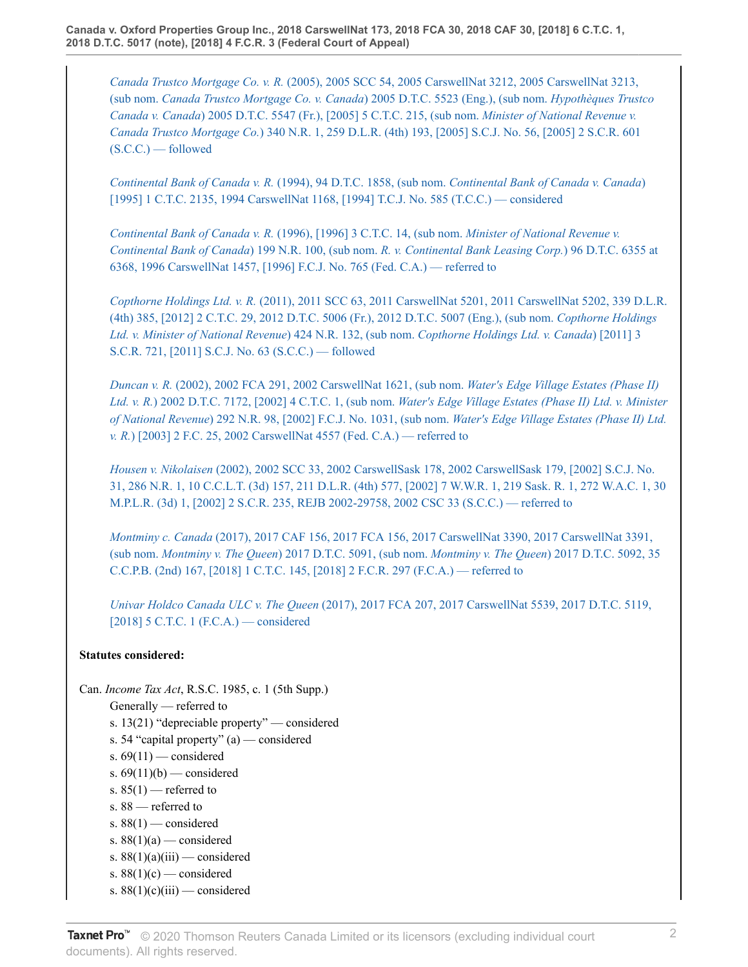*Canada Trustco Mortgage Co. v. R.* [\(2005\), 2005 SCC 54, 2005 CarswellNat 3212, 2005 CarswellNat 3213,](http://v3.taxnetpro.com/Document/I8d7d939394245dece0440003ba833f85/View/FullText.html?originationContext=document&vr=3.0&rs=cblt1.0&transitionType=DocumentItem&contextData=(sc.Search)) (sub nom. *[Canada Trustco Mortgage Co. v. Canada](http://v3.taxnetpro.com/Document/I8d7d939394245dece0440003ba833f85/View/FullText.html?originationContext=document&vr=3.0&rs=cblt1.0&transitionType=DocumentItem&contextData=(sc.Search))*) 2005 D.T.C. 5523 (Eng.), (sub nom. *Hypothèques Trustco Canada v. Canada*[\) 2005 D.T.C. 5547 \(Fr.\), \[2005\] 5 C.T.C. 215, \(sub nom.](http://v3.taxnetpro.com/Document/I8d7d939394245dece0440003ba833f85/View/FullText.html?originationContext=document&vr=3.0&rs=cblt1.0&transitionType=DocumentItem&contextData=(sc.Search)) *Minister of National Revenue v. Canada Trustco Mortgage Co.*[\) 340 N.R. 1, 259 D.L.R. \(4th\) 193, \[2005\] S.C.J. No. 56, \[2005\] 2 S.C.R. 601](http://v3.taxnetpro.com/Document/I8d7d939394245dece0440003ba833f85/View/FullText.html?originationContext=document&vr=3.0&rs=cblt1.0&transitionType=DocumentItem&contextData=(sc.Search))  $(S.C.C.)$  — followed

*Continental Bank of Canada v. R.* (1994), 94 D.T.C. 1858, (sub nom. *[Continental Bank of Canada v. Canada](http://v3.taxnetpro.com/Document/I8d7d93943bdd5dece0440003ba833f85/View/FullText.html?originationContext=document&vr=3.0&rs=cblt1.0&transitionType=DocumentItem&contextData=(sc.Search))*) [\[1995\] 1 C.T.C. 2135, 1994 CarswellNat 1168, \[1994\] T.C.J. No. 585 \(T.C.C.\) — considered](http://v3.taxnetpro.com/Document/I8d7d93943bdd5dece0440003ba833f85/View/FullText.html?originationContext=document&vr=3.0&rs=cblt1.0&transitionType=DocumentItem&contextData=(sc.Search))

*Continental Bank of Canada v. R.* [\(1996\), \[1996\] 3 C.T.C. 14, \(sub nom.](http://v3.taxnetpro.com/Document/I8d7d93941f7f5dece0440003ba833f85/View/FullText.html?originationContext=document&vr=3.0&rs=cblt1.0&transitionType=DocumentItem&contextData=(sc.Search)) *Minister of National Revenue v. Continental Bank of Canada*) 199 N.R. 100, (sub nom. *[R. v. Continental Bank Leasing Corp.](http://v3.taxnetpro.com/Document/I8d7d93941f7f5dece0440003ba833f85/View/FullText.html?originationContext=document&vr=3.0&rs=cblt1.0&transitionType=DocumentItem&contextData=(sc.Search))*) 96 D.T.C. 6355 at [6368, 1996 CarswellNat 1457, \[1996\] F.C.J. No. 765 \(Fed. C.A.\) — referred to](http://v3.taxnetpro.com/Document/I8d7d93941f7f5dece0440003ba833f85/View/FullText.html?originationContext=document&vr=3.0&rs=cblt1.0&transitionType=DocumentItem&contextData=(sc.Search))

*Copthorne Holdings Ltd. v. R.* [\(2011\), 2011 SCC 63, 2011 CarswellNat 5201, 2011 CarswellNat 5202, 339 D.L.R.](http://v3.taxnetpro.com/Document/Ib6468171105f07f8e0440021280d79ee/View/FullText.html?originationContext=document&vr=3.0&rs=cblt1.0&transitionType=DocumentItem&contextData=(sc.Search)) [\(4th\) 385, \[2012\] 2 C.T.C. 29, 2012 D.T.C. 5006 \(Fr.\), 2012 D.T.C. 5007 \(Eng.\), \(sub nom.](http://v3.taxnetpro.com/Document/Ib6468171105f07f8e0440021280d79ee/View/FullText.html?originationContext=document&vr=3.0&rs=cblt1.0&transitionType=DocumentItem&contextData=(sc.Search)) *Copthorne Holdings [Ltd. v. Minister of National Revenue](http://v3.taxnetpro.com/Document/Ib6468171105f07f8e0440021280d79ee/View/FullText.html?originationContext=document&vr=3.0&rs=cblt1.0&transitionType=DocumentItem&contextData=(sc.Search))*) 424 N.R. 132, (sub nom. *Copthorne Holdings Ltd. v. Canada*) [2011] 3 [S.C.R. 721, \[2011\] S.C.J. No. 63 \(S.C.C.\) — followed](http://v3.taxnetpro.com/Document/Ib6468171105f07f8e0440021280d79ee/View/FullText.html?originationContext=document&vr=3.0&rs=cblt1.0&transitionType=DocumentItem&contextData=(sc.Search))

*Duncan v. R.* [\(2002\), 2002 FCA 291, 2002 CarswellNat 1621, \(sub nom.](http://v3.taxnetpro.com/Document/I8d7d9393d13b5dece0440003ba833f85/View/FullText.html?originationContext=document&vr=3.0&rs=cblt1.0&transitionType=DocumentItem&contextData=(sc.Search)) *Water's Edge Village Estates (Phase II) Ltd. v. R.*) 2002 D.T.C. 7172, [2002] 4 C.T.C. 1, (sub nom. *[Water's Edge Village Estates \(Phase II\) Ltd. v. Minister](http://v3.taxnetpro.com/Document/I8d7d9393d13b5dece0440003ba833f85/View/FullText.html?originationContext=document&vr=3.0&rs=cblt1.0&transitionType=DocumentItem&contextData=(sc.Search)) of National Revenue*[\) 292 N.R. 98, \[2002\] F.C.J. No. 1031, \(sub nom.](http://v3.taxnetpro.com/Document/I8d7d9393d13b5dece0440003ba833f85/View/FullText.html?originationContext=document&vr=3.0&rs=cblt1.0&transitionType=DocumentItem&contextData=(sc.Search)) *Water's Edge Village Estates (Phase II) Ltd. v. R.*[\) \[2003\] 2 F.C. 25, 2002 CarswellNat 4557 \(Fed. C.A.\) — referred to](http://v3.taxnetpro.com/Document/I8d7d9393d13b5dece0440003ba833f85/View/FullText.html?originationContext=document&vr=3.0&rs=cblt1.0&transitionType=DocumentItem&contextData=(sc.Search))

*Housen v. Nikolaisen* [\(2002\), 2002 SCC 33, 2002 CarswellSask 178, 2002 CarswellSask 179, \[2002\] S.C.J. No.](http://v3.taxnetpro.com/Document/I17a3d4299a0372cbe0540021280d79ee/View/FullText.html?originationContext=document&vr=3.0&rs=cblt1.0&transitionType=DocumentItem&contextData=(sc.Search)) [31, 286 N.R. 1, 10 C.C.L.T. \(3d\) 157, 211 D.L.R. \(4th\) 577, \[2002\] 7 W.W.R. 1, 219 Sask. R. 1, 272 W.A.C. 1, 30](http://v3.taxnetpro.com/Document/I17a3d4299a0372cbe0540021280d79ee/View/FullText.html?originationContext=document&vr=3.0&rs=cblt1.0&transitionType=DocumentItem&contextData=(sc.Search)) [M.P.L.R. \(3d\) 1, \[2002\] 2 S.C.R. 235, REJB 2002-29758, 2002 CSC 33 \(S.C.C.\) — referred to](http://v3.taxnetpro.com/Document/I17a3d4299a0372cbe0540021280d79ee/View/FullText.html?originationContext=document&vr=3.0&rs=cblt1.0&transitionType=DocumentItem&contextData=(sc.Search))

*Montminy c. Canada* [\(2017\), 2017 CAF 156, 2017 FCA 156, 2017 CarswellNat 3390, 2017 CarswellNat 3391,](http://v3.taxnetpro.com/Document/I552a0b53117a6fbae0540021280d7cce/View/FullText.html?originationContext=document&vr=3.0&rs=cblt1.0&transitionType=DocumentItem&contextData=(sc.Search)) (sub nom. *Montminy v. The Queen*[\) 2017 D.T.C. 5091, \(sub nom.](http://v3.taxnetpro.com/Document/I552a0b53117a6fbae0540021280d7cce/View/FullText.html?originationContext=document&vr=3.0&rs=cblt1.0&transitionType=DocumentItem&contextData=(sc.Search)) *Montminy v. The Queen*) 2017 D.T.C. 5092, 35 [C.C.P.B. \(2nd\) 167, \[2018\] 1 C.T.C. 145, \[2018\] 2 F.C.R. 297 \(F.C.A.\) — referred to](http://v3.taxnetpro.com/Document/I552a0b53117a6fbae0540021280d7cce/View/FullText.html?originationContext=document&vr=3.0&rs=cblt1.0&transitionType=DocumentItem&contextData=(sc.Search))

*Univar Holdco Canada ULC v. The Queen* [\(2017\), 2017 FCA 207, 2017 CarswellNat 5539, 2017 D.T.C. 5119,](http://v3.taxnetpro.com/Document/I5bd31f367dbf3f96e0540021280d7cce/View/FullText.html?originationContext=document&vr=3.0&rs=cblt1.0&transitionType=DocumentItem&contextData=(sc.Search)) [\[2018\] 5 C.T.C. 1 \(F.C.A.\) — considered](http://v3.taxnetpro.com/Document/I5bd31f367dbf3f96e0540021280d7cce/View/FullText.html?originationContext=document&vr=3.0&rs=cblt1.0&transitionType=DocumentItem&contextData=(sc.Search))

# **Statutes considered:**

- Can. *Income Tax Act*, R.S.C. 1985, c. 1 (5th Supp.) Generally — referred to s. 13(21) "depreciable property" — considered s. 54 "capital property" (a) — considered s.  $69(11)$  — considered s.  $69(11)(b)$  — considered s.  $85(1)$  — referred to s. 88 — referred to s.  $88(1)$  — considered s.  $88(1)(a)$  — considered
	- s.  $88(1)(a)(iii)$  considered
	- s.  $88(1)(c)$  considered
	- s.  $88(1)(c)(iii)$  considered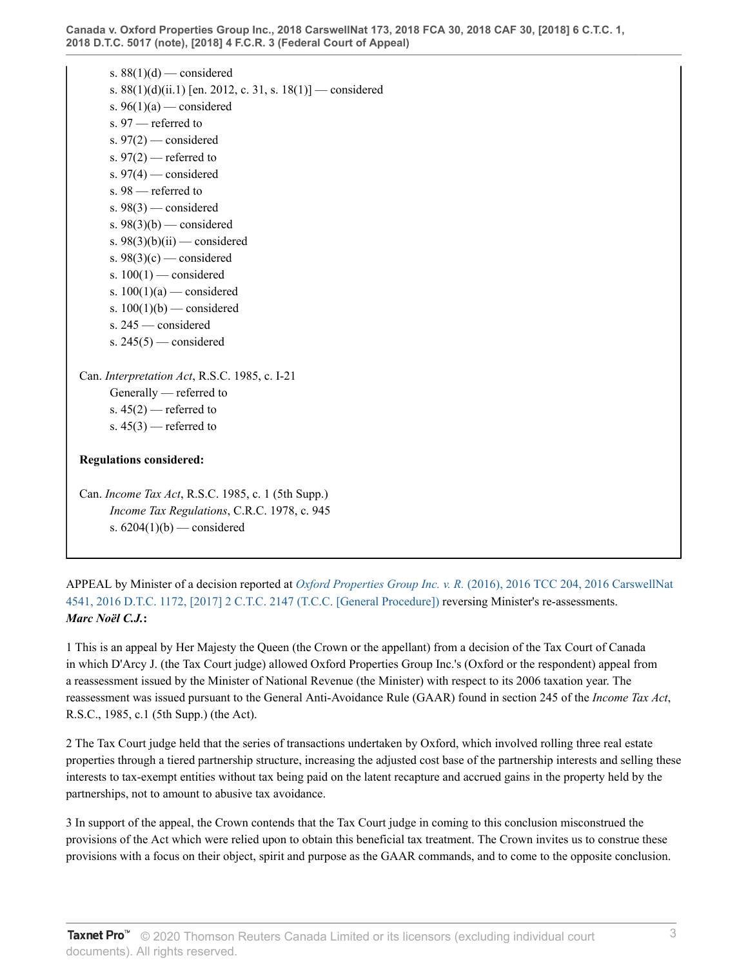```
s. 88(1)(d) — considered
      s. 88(1)(d)(ii.1) [en. 2012, c. 31, s. 18(1)] — considered
      s. 96(1)(a) — considered
      s. 97 — referred to
      s. 97(2) — considered
      s. 97(2) — referred to
      s. 97(4) — considered
      s. 98 — referred to
      s. 98(3) — considered
      s. 98(3)(b) — considered
      s. 98(3)(b)(ii) — considered
      s. 98(3)(c) — considered
      s. 100(1) — considered
      s. 100(1)(a) — considered
      s. 100(1)(b) — considered
      s. 245 — considered
      s. 245(5) — considered
Can. Interpretation Act, R.S.C. 1985, c. I-21
      Generally — referred to
      s. 45(2) — referred to
      s. 45(3) — referred to
Regulations considered:
Can. Income Tax Act, R.S.C. 1985, c. 1 (5th Supp.)
      Income Tax Regulations, C.R.C. 1978, c. 945
```
s.  $6204(1)(b)$  — considered

APPEAL by Minister of a decision reported at *Oxford Properties Group Inc. v. R.* [\(2016\), 2016 TCC 204, 2016 CarswellNat](http://v3.taxnetpro.com/Document/I3d6bd7a9b25517ffe0540021280d79ee/View/FullText.html?originationContext=document&vr=3.0&rs=cblt1.0&transitionType=DocumentItem&contextData=(sc.Search)) [4541, 2016 D.T.C. 1172, \[2017\] 2 C.T.C. 2147 \(T.C.C. \[General Procedure\]\)](http://v3.taxnetpro.com/Document/I3d6bd7a9b25517ffe0540021280d79ee/View/FullText.html?originationContext=document&vr=3.0&rs=cblt1.0&transitionType=DocumentItem&contextData=(sc.Search)) reversing Minister's re-assessments. *Marc Noël C.J.***:**

1 This is an appeal by Her Majesty the Queen (the Crown or the appellant) from a decision of the Tax Court of Canada in which D'Arcy J. (the Tax Court judge) allowed Oxford Properties Group Inc.'s (Oxford or the respondent) appeal from a reassessment issued by the Minister of National Revenue (the Minister) with respect to its 2006 taxation year. The reassessment was issued pursuant to the General Anti-Avoidance Rule (GAAR) found in section 245 of the *Income Tax Act*, R.S.C., 1985, c.1 (5th Supp.) (the Act).

2 The Tax Court judge held that the series of transactions undertaken by Oxford, which involved rolling three real estate properties through a tiered partnership structure, increasing the adjusted cost base of the partnership interests and selling these interests to tax-exempt entities without tax being paid on the latent recapture and accrued gains in the property held by the partnerships, not to amount to abusive tax avoidance.

3 In support of the appeal, the Crown contends that the Tax Court judge in coming to this conclusion misconstrued the provisions of the Act which were relied upon to obtain this beneficial tax treatment. The Crown invites us to construe these provisions with a focus on their object, spirit and purpose as the GAAR commands, and to come to the opposite conclusion.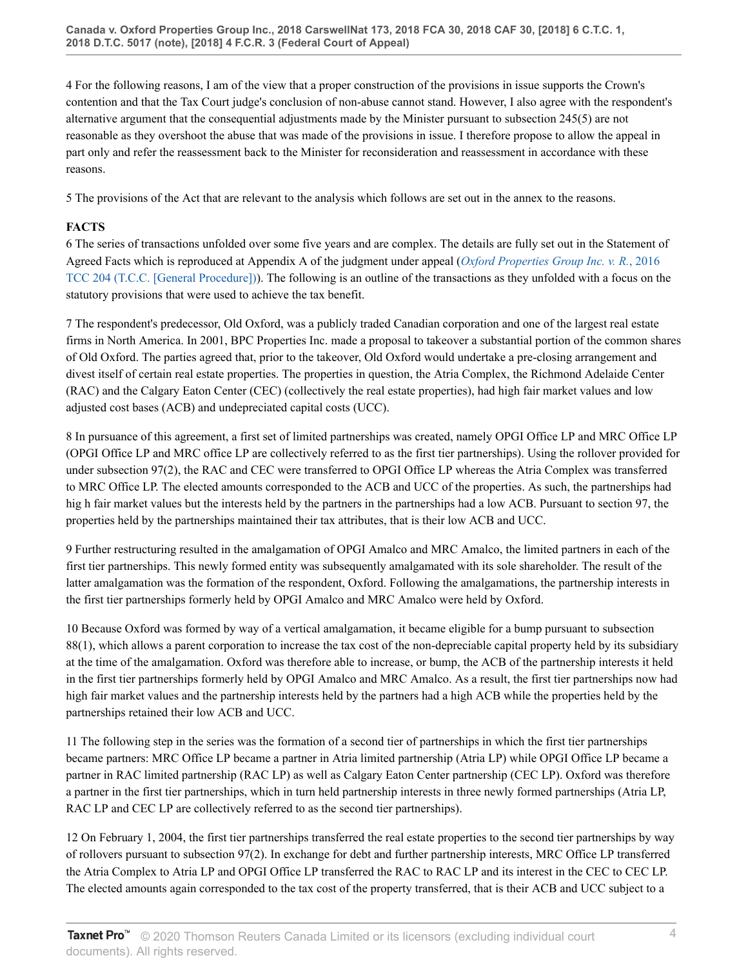4 For the following reasons, I am of the view that a proper construction of the provisions in issue supports the Crown's contention and that the Tax Court judge's conclusion of non-abuse cannot stand. However, I also agree with the respondent's alternative argument that the consequential adjustments made by the Minister pursuant to subsection 245(5) are not reasonable as they overshoot the abuse that was made of the provisions in issue. I therefore propose to allow the appeal in part only and refer the reassessment back to the Minister for reconsideration and reassessment in accordance with these reasons.

5 The provisions of the Act that are relevant to the analysis which follows are set out in the annex to the reasons.

### **FACTS**

6 The series of transactions unfolded over some five years and are complex. The details are fully set out in the Statement of Agreed Facts which is reproduced at Appendix A of the judgment under appeal (*[Oxford Properties Group Inc. v. R.](http://v3.taxnetpro.com/Document/I3d6bd7a9b25517ffe0540021280d79ee/View/FullText.html?originationContext=document&vr=3.0&rs=cblt1.0&transitionType=DocumentItem&contextData=(sc.Search))*, 2016 [TCC 204 \(T.C.C. \[General Procedure\]\)](http://v3.taxnetpro.com/Document/I3d6bd7a9b25517ffe0540021280d79ee/View/FullText.html?originationContext=document&vr=3.0&rs=cblt1.0&transitionType=DocumentItem&contextData=(sc.Search))). The following is an outline of the transactions as they unfolded with a focus on the statutory provisions that were used to achieve the tax benefit.

7 The respondent's predecessor, Old Oxford, was a publicly traded Canadian corporation and one of the largest real estate firms in North America. In 2001, BPC Properties Inc. made a proposal to takeover a substantial portion of the common shares of Old Oxford. The parties agreed that, prior to the takeover, Old Oxford would undertake a pre-closing arrangement and divest itself of certain real estate properties. The properties in question, the Atria Complex, the Richmond Adelaide Center (RAC) and the Calgary Eaton Center (CEC) (collectively the real estate properties), had high fair market values and low adjusted cost bases (ACB) and undepreciated capital costs (UCC).

8 In pursuance of this agreement, a first set of limited partnerships was created, namely OPGI Office LP and MRC Office LP (OPGI Office LP and MRC office LP are collectively referred to as the first tier partnerships). Using the rollover provided for under subsection 97(2), the RAC and CEC were transferred to OPGI Office LP whereas the Atria Complex was transferred to MRC Office LP. The elected amounts corresponded to the ACB and UCC of the properties. As such, the partnerships had hig h fair market values but the interests held by the partners in the partnerships had a low ACB. Pursuant to section 97, the properties held by the partnerships maintained their tax attributes, that is their low ACB and UCC.

9 Further restructuring resulted in the amalgamation of OPGI Amalco and MRC Amalco, the limited partners in each of the first tier partnerships. This newly formed entity was subsequently amalgamated with its sole shareholder. The result of the latter amalgamation was the formation of the respondent, Oxford. Following the amalgamations, the partnership interests in the first tier partnerships formerly held by OPGI Amalco and MRC Amalco were held by Oxford.

10 Because Oxford was formed by way of a vertical amalgamation, it became eligible for a bump pursuant to subsection 88(1), which allows a parent corporation to increase the tax cost of the non-depreciable capital property held by its subsidiary at the time of the amalgamation. Oxford was therefore able to increase, or bump, the ACB of the partnership interests it held in the first tier partnerships formerly held by OPGI Amalco and MRC Amalco. As a result, the first tier partnerships now had high fair market values and the partnership interests held by the partners had a high ACB while the properties held by the partnerships retained their low ACB and UCC.

11 The following step in the series was the formation of a second tier of partnerships in which the first tier partnerships became partners: MRC Office LP became a partner in Atria limited partnership (Atria LP) while OPGI Office LP became a partner in RAC limited partnership (RAC LP) as well as Calgary Eaton Center partnership (CEC LP). Oxford was therefore a partner in the first tier partnerships, which in turn held partnership interests in three newly formed partnerships (Atria LP, RAC LP and CEC LP are collectively referred to as the second tier partnerships).

12 On February 1, 2004, the first tier partnerships transferred the real estate properties to the second tier partnerships by way of rollovers pursuant to subsection 97(2). In exchange for debt and further partnership interests, MRC Office LP transferred the Atria Complex to Atria LP and OPGI Office LP transferred the RAC to RAC LP and its interest in the CEC to CEC LP. The elected amounts again corresponded to the tax cost of the property transferred, that is their ACB and UCC subject to a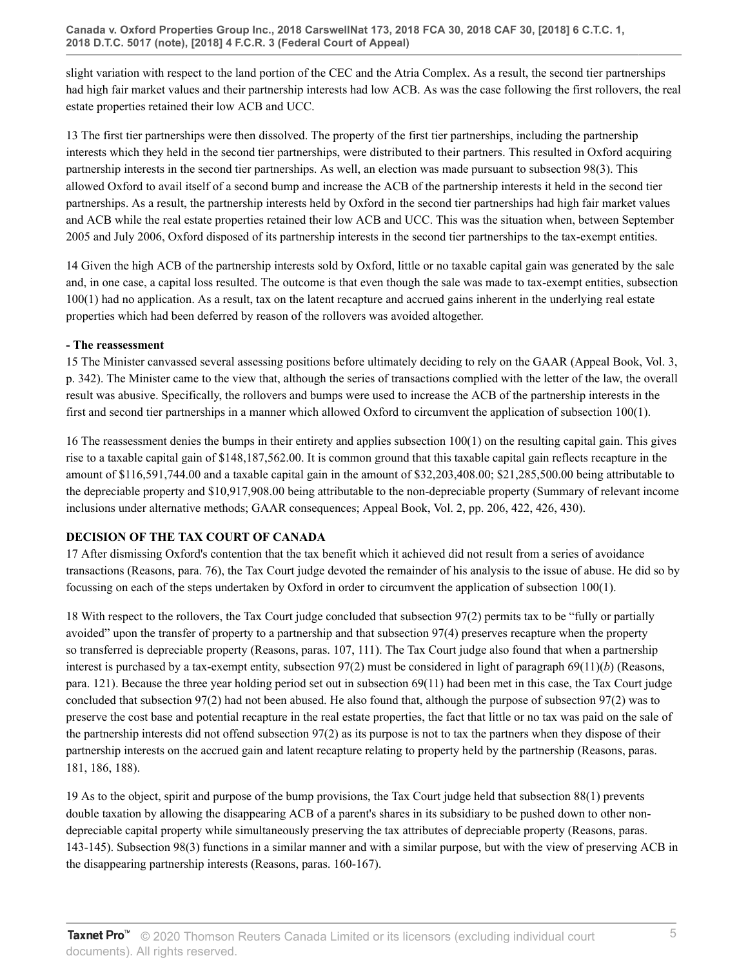slight variation with respect to the land portion of the CEC and the Atria Complex. As a result, the second tier partnerships had high fair market values and their partnership interests had low ACB. As was the case following the first rollovers, the real estate properties retained their low ACB and UCC.

13 The first tier partnerships were then dissolved. The property of the first tier partnerships, including the partnership interests which they held in the second tier partnerships, were distributed to their partners. This resulted in Oxford acquiring partnership interests in the second tier partnerships. As well, an election was made pursuant to subsection 98(3). This allowed Oxford to avail itself of a second bump and increase the ACB of the partnership interests it held in the second tier partnerships. As a result, the partnership interests held by Oxford in the second tier partnerships had high fair market values and ACB while the real estate properties retained their low ACB and UCC. This was the situation when, between September 2005 and July 2006, Oxford disposed of its partnership interests in the second tier partnerships to the tax-exempt entities.

14 Given the high ACB of the partnership interests sold by Oxford, little or no taxable capital gain was generated by the sale and, in one case, a capital loss resulted. The outcome is that even though the sale was made to tax-exempt entities, subsection 100(1) had no application. As a result, tax on the latent recapture and accrued gains inherent in the underlying real estate properties which had been deferred by reason of the rollovers was avoided altogether.

#### **- The reassessment**

15 The Minister canvassed several assessing positions before ultimately deciding to rely on the GAAR (Appeal Book, Vol. 3, p. 342). The Minister came to the view that, although the series of transactions complied with the letter of the law, the overall result was abusive. Specifically, the rollovers and bumps were used to increase the ACB of the partnership interests in the first and second tier partnerships in a manner which allowed Oxford to circumvent the application of subsection 100(1).

16 The reassessment denies the bumps in their entirety and applies subsection 100(1) on the resulting capital gain. This gives rise to a taxable capital gain of \$148,187,562.00. It is common ground that this taxable capital gain reflects recapture in the amount of \$116,591,744.00 and a taxable capital gain in the amount of \$32,203,408.00; \$21,285,500.00 being attributable to the depreciable property and \$10,917,908.00 being attributable to the non-depreciable property (Summary of relevant income inclusions under alternative methods; GAAR consequences; Appeal Book, Vol. 2, pp. 206, 422, 426, 430).

### **DECISION OF THE TAX COURT OF CANADA**

17 After dismissing Oxford's contention that the tax benefit which it achieved did not result from a series of avoidance transactions (Reasons, para. 76), the Tax Court judge devoted the remainder of his analysis to the issue of abuse. He did so by focussing on each of the steps undertaken by Oxford in order to circumvent the application of subsection 100(1).

18 With respect to the rollovers, the Tax Court judge concluded that subsection 97(2) permits tax to be "fully or partially avoided" upon the transfer of property to a partnership and that subsection 97(4) preserves recapture when the property so transferred is depreciable property (Reasons, paras. 107, 111). The Tax Court judge also found that when a partnership interest is purchased by a tax-exempt entity, subsection 97(2) must be considered in light of paragraph 69(11)(*b*) (Reasons, para. 121). Because the three year holding period set out in subsection 69(11) had been met in this case, the Tax Court judge concluded that subsection 97(2) had not been abused. He also found that, although the purpose of subsection 97(2) was to preserve the cost base and potential recapture in the real estate properties, the fact that little or no tax was paid on the sale of the partnership interests did not offend subsection 97(2) as its purpose is not to tax the partners when they dispose of their partnership interests on the accrued gain and latent recapture relating to property held by the partnership (Reasons, paras. 181, 186, 188).

19 As to the object, spirit and purpose of the bump provisions, the Tax Court judge held that subsection 88(1) prevents double taxation by allowing the disappearing ACB of a parent's shares in its subsidiary to be pushed down to other nondepreciable capital property while simultaneously preserving the tax attributes of depreciable property (Reasons, paras. 143-145). Subsection 98(3) functions in a similar manner and with a similar purpose, but with the view of preserving ACB in the disappearing partnership interests (Reasons, paras. 160-167).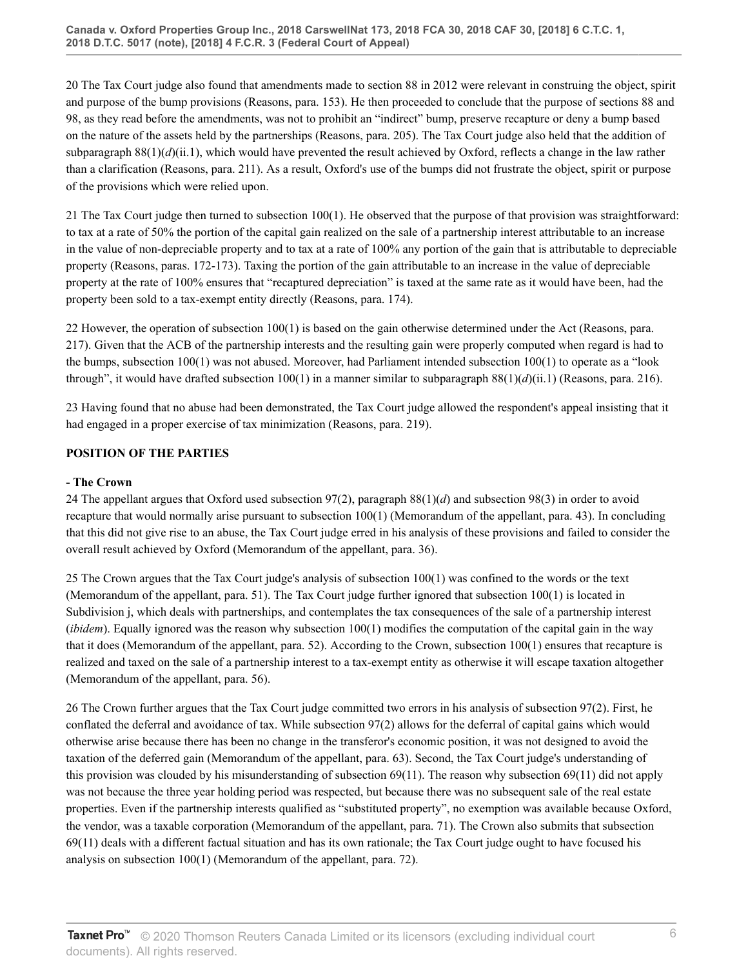20 The Tax Court judge also found that amendments made to section 88 in 2012 were relevant in construing the object, spirit and purpose of the bump provisions (Reasons, para. 153). He then proceeded to conclude that the purpose of sections 88 and 98, as they read before the amendments, was not to prohibit an "indirect" bump, preserve recapture or deny a bump based on the nature of the assets held by the partnerships (Reasons, para. 205). The Tax Court judge also held that the addition of subparagraph  $88(1)(d)(ii.1)$ , which would have prevented the result achieved by Oxford, reflects a change in the law rather than a clarification (Reasons, para. 211). As a result, Oxford's use of the bumps did not frustrate the object, spirit or purpose of the provisions which were relied upon.

21 The Tax Court judge then turned to subsection 100(1). He observed that the purpose of that provision was straightforward: to tax at a rate of 50% the portion of the capital gain realized on the sale of a partnership interest attributable to an increase in the value of non-depreciable property and to tax at a rate of 100% any portion of the gain that is attributable to depreciable property (Reasons, paras. 172-173). Taxing the portion of the gain attributable to an increase in the value of depreciable property at the rate of 100% ensures that "recaptured depreciation" is taxed at the same rate as it would have been, had the property been sold to a tax-exempt entity directly (Reasons, para. 174).

22 However, the operation of subsection 100(1) is based on the gain otherwise determined under the Act (Reasons, para. 217). Given that the ACB of the partnership interests and the resulting gain were properly computed when regard is had to the bumps, subsection 100(1) was not abused. Moreover, had Parliament intended subsection 100(1) to operate as a "look through", it would have drafted subsection  $100(1)$  in a manner similar to subparagraph  $88(1)(d)(ii.1)$  (Reasons, para. 216).

23 Having found that no abuse had been demonstrated, the Tax Court judge allowed the respondent's appeal insisting that it had engaged in a proper exercise of tax minimization (Reasons, para. 219).

## **POSITION OF THE PARTIES**

### **- The Crown**

24 The appellant argues that Oxford used subsection  $97(2)$ , paragraph  $88(1)(d)$  and subsection  $98(3)$  in order to avoid recapture that would normally arise pursuant to subsection 100(1) (Memorandum of the appellant, para. 43). In concluding that this did not give rise to an abuse, the Tax Court judge erred in his analysis of these provisions and failed to consider the overall result achieved by Oxford (Memorandum of the appellant, para. 36).

25 The Crown argues that the Tax Court judge's analysis of subsection 100(1) was confined to the words or the text (Memorandum of the appellant, para. 51). The Tax Court judge further ignored that subsection 100(1) is located in Subdivision j, which deals with partnerships, and contemplates the tax consequences of the sale of a partnership interest (*ibidem*). Equally ignored was the reason why subsection 100(1) modifies the computation of the capital gain in the way that it does (Memorandum of the appellant, para. 52). According to the Crown, subsection 100(1) ensures that recapture is realized and taxed on the sale of a partnership interest to a tax-exempt entity as otherwise it will escape taxation altogether (Memorandum of the appellant, para. 56).

26 The Crown further argues that the Tax Court judge committed two errors in his analysis of subsection 97(2). First, he conflated the deferral and avoidance of tax. While subsection 97(2) allows for the deferral of capital gains which would otherwise arise because there has been no change in the transferor's economic position, it was not designed to avoid the taxation of the deferred gain (Memorandum of the appellant, para. 63). Second, the Tax Court judge's understanding of this provision was clouded by his misunderstanding of subsection 69(11). The reason why subsection 69(11) did not apply was not because the three year holding period was respected, but because there was no subsequent sale of the real estate properties. Even if the partnership interests qualified as "substituted property", no exemption was available because Oxford, the vendor, was a taxable corporation (Memorandum of the appellant, para. 71). The Crown also submits that subsection  $69(11)$  deals with a different factual situation and has its own rationale; the Tax Court judge ought to have focused his analysis on subsection 100(1) (Memorandum of the appellant, para. 72).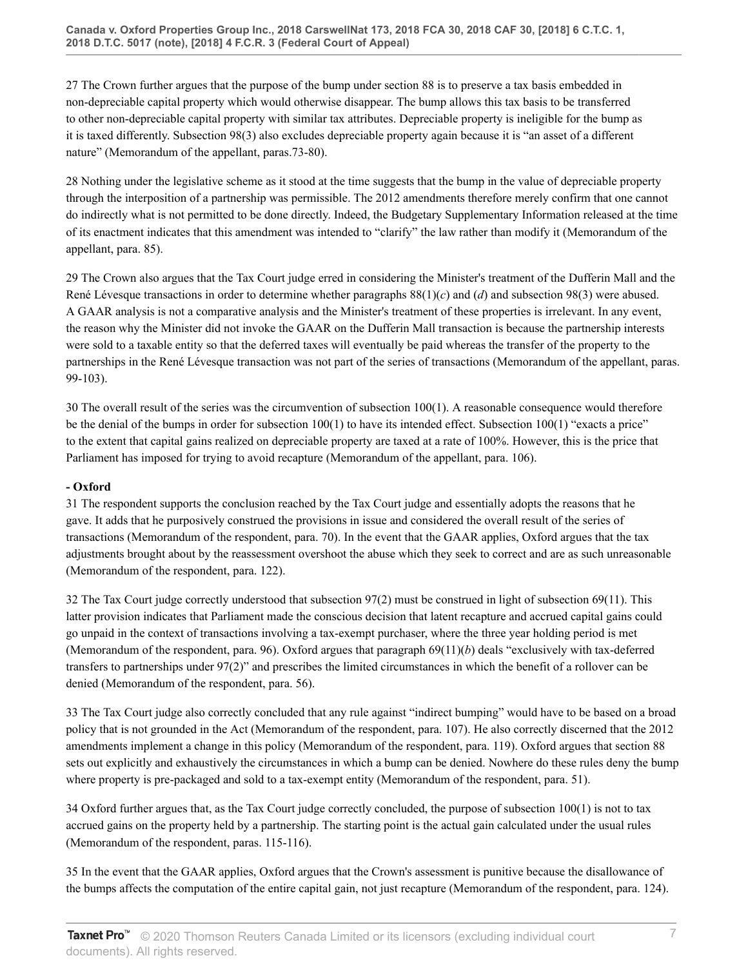27 The Crown further argues that the purpose of the bump under section 88 is to preserve a tax basis embedded in non-depreciable capital property which would otherwise disappear. The bump allows this tax basis to be transferred to other non-depreciable capital property with similar tax attributes. Depreciable property is ineligible for the bump as it is taxed differently. Subsection 98(3) also excludes depreciable property again because it is "an asset of a different nature" (Memorandum of the appellant, paras. 73-80).

28 Nothing under the legislative scheme as it stood at the time suggests that the bump in the value of depreciable property through the interposition of a partnership was permissible. The 2012 amendments therefore merely confirm that one cannot do indirectly what is not permitted to be done directly. Indeed, the Budgetary Supplementary Information released at the time of its enactment indicates that this amendment was intended to "clarify" the law rather than modify it (Memorandum of the appellant, para. 85).

29 The Crown also argues that the Tax Court judge erred in considering the Minister's treatment of the Dufferin Mall and the René Lévesque transactions in order to determine whether paragraphs 88(1)(*c*) and (*d*) and subsection 98(3) were abused. A GAAR analysis is not a comparative analysis and the Minister's treatment of these properties is irrelevant. In any event, the reason why the Minister did not invoke the GAAR on the Dufferin Mall transaction is because the partnership interests were sold to a taxable entity so that the deferred taxes will eventually be paid whereas the transfer of the property to the partnerships in the René Lévesque transaction was not part of the series of transactions (Memorandum of the appellant, paras. 99-103).

30 The overall result of the series was the circumvention of subsection 100(1). A reasonable consequence would therefore be the denial of the bumps in order for subsection 100(1) to have its intended effect. Subsection 100(1) "exacts a price" to the extent that capital gains realized on depreciable property are taxed at a rate of 100%. However, this is the price that Parliament has imposed for trying to avoid recapture (Memorandum of the appellant, para. 106).

#### **- Oxford**

31 The respondent supports the conclusion reached by the Tax Court judge and essentially adopts the reasons that he gave. It adds that he purposively construed the provisions in issue and considered the overall result of the series of transactions (Memorandum of the respondent, para. 70). In the event that the GAAR applies, Oxford argues that the tax adjustments brought about by the reassessment overshoot the abuse which they seek to correct and are as such unreasonable (Memorandum of the respondent, para. 122).

32 The Tax Court judge correctly understood that subsection 97(2) must be construed in light of subsection 69(11). This latter provision indicates that Parliament made the conscious decision that latent recapture and accrued capital gains could go unpaid in the context of transactions involving a tax-exempt purchaser, where the three year holding period is met (Memorandum of the respondent, para. 96). Oxford argues that paragraph 69(11)(*b*) deals "exclusively with tax-deferred transfers to partnerships under 97(2)" and prescribes the limited circumstances in which the benefit of a rollover can be denied (Memorandum of the respondent, para. 56).

33 The Tax Court judge also correctly concluded that any rule against "indirect bumping" would have to be based on a broad policy that is not grounded in the Act (Memorandum of the respondent, para. 107). He also correctly discerned that the 2012 amendments implement a change in this policy (Memorandum of the respondent, para. 119). Oxford argues that section 88 sets out explicitly and exhaustively the circumstances in which a bump can be denied. Nowhere do these rules deny the bump where property is pre-packaged and sold to a tax-exempt entity (Memorandum of the respondent, para. 51).

34 Oxford further argues that, as the Tax Court judge correctly concluded, the purpose of subsection 100(1) is not to tax accrued gains on the property held by a partnership. The starting point is the actual gain calculated under the usual rules (Memorandum of the respondent, paras. 115-116).

35 In the event that the GAAR applies, Oxford argues that the Crown's assessment is punitive because the disallowance of the bumps affects the computation of the entire capital gain, not just recapture (Memorandum of the respondent, para. 124).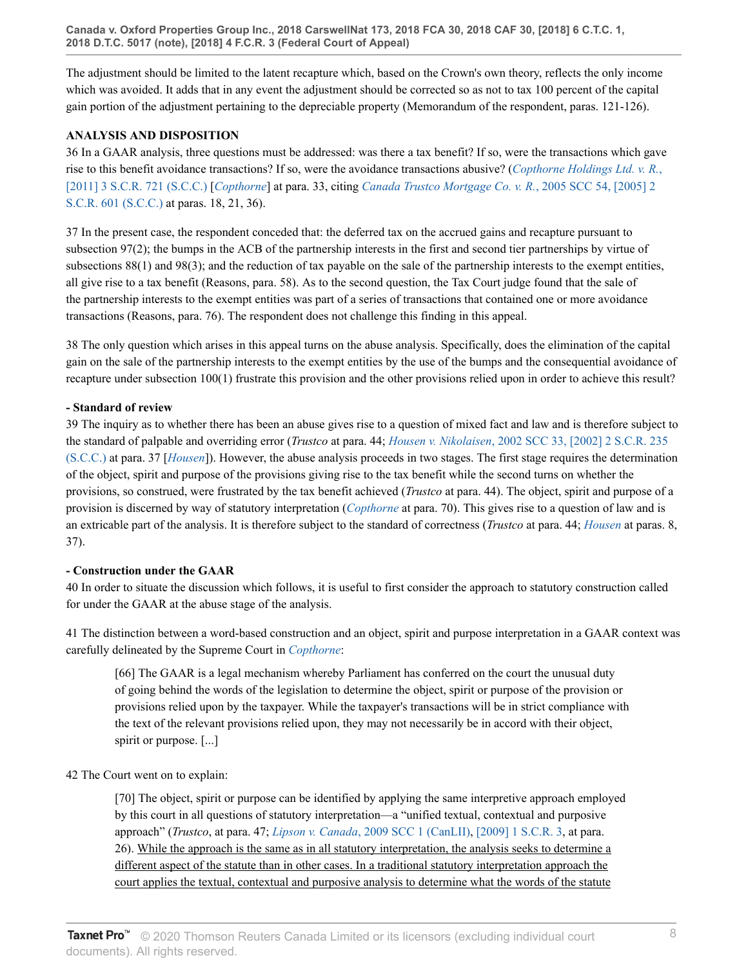The adjustment should be limited to the latent recapture which, based on the Crown's own theory, reflects the only income which was avoided. It adds that in any event the adjustment should be corrected so as not to tax 100 percent of the capital gain portion of the adjustment pertaining to the depreciable property (Memorandum of the respondent, paras. 121-126).

### **ANALYSIS AND DISPOSITION**

36 In a GAAR analysis, three questions must be addressed: was there a tax benefit? If so, were the transactions which gave rise to this benefit avoidance transactions? If so, were the avoidance transactions abusive? (*[Copthorne Holdings Ltd. v. R.](http://v3.taxnetpro.com/Document/Ib6468171105f07f8e0440021280d79ee/View/FullText.html?originationContext=document&vr=3.0&rs=cblt1.0&transitionType=DocumentItem&contextData=(sc.Search))*, [\[2011\] 3 S.C.R. 721 \(S.C.C.\)](http://v3.taxnetpro.com/Document/Ib6468171105f07f8e0440021280d79ee/View/FullText.html?originationContext=document&vr=3.0&rs=cblt1.0&transitionType=DocumentItem&contextData=(sc.Search)) [*[Copthorne](http://v3.taxnetpro.com/Document/Ib6468171105f07f8e0440021280d79ee/View/FullText.html?originationContext=document&vr=3.0&rs=cblt1.0&transitionType=DocumentItem&contextData=(sc.Search))*] at para. 33, citing *[Canada Trustco Mortgage Co. v. R.](http://v3.taxnetpro.com/Document/I8d7d939394245dece0440003ba833f85/View/FullText.html?originationContext=document&vr=3.0&rs=cblt1.0&transitionType=DocumentItem&contextData=(sc.Search))*, 2005 SCC 54, [2005] 2 [S.C.R. 601 \(S.C.C.\)](http://v3.taxnetpro.com/Document/I8d7d939394245dece0440003ba833f85/View/FullText.html?originationContext=document&vr=3.0&rs=cblt1.0&transitionType=DocumentItem&contextData=(sc.Search)) at paras. 18, 21, 36).

37 In the present case, the respondent conceded that: the deferred tax on the accrued gains and recapture pursuant to subsection 97(2); the bumps in the ACB of the partnership interests in the first and second tier partnerships by virtue of subsections 88(1) and 98(3); and the reduction of tax payable on the sale of the partnership interests to the exempt entities, all give rise to a tax benefit (Reasons, para. 58). As to the second question, the Tax Court judge found that the sale of the partnership interests to the exempt entities was part of a series of transactions that contained one or more avoidance transactions (Reasons, para. 76). The respondent does not challenge this finding in this appeal.

38 The only question which arises in this appeal turns on the abuse analysis. Specifically, does the elimination of the capital gain on the sale of the partnership interests to the exempt entities by the use of the bumps and the consequential avoidance of recapture under subsection 100(1) frustrate this provision and the other provisions relied upon in order to achieve this result?

### **- Standard of review**

39 The inquiry as to whether there has been an abuse gives rise to a question of mixed fact and law and is therefore subject to the standard of palpable and overriding error (*Trustco* at para. 44; *Housen v. Nikolaisen*[, 2002 SCC 33, \[2002\] 2 S.C.R. 235](http://v3.taxnetpro.com/Document/I17a3d4299a0372cbe0540021280d79ee/View/FullText.html?originationContext=document&vr=3.0&rs=cblt1.0&transitionType=DocumentItem&contextData=(sc.Search)) [\(S.C.C.\)](http://v3.taxnetpro.com/Document/I17a3d4299a0372cbe0540021280d79ee/View/FullText.html?originationContext=document&vr=3.0&rs=cblt1.0&transitionType=DocumentItem&contextData=(sc.Search)) at para. 37 [*[Housen](http://v3.taxnetpro.com/Document/I17a3d4299a0372cbe0540021280d79ee/View/FullText.html?originationContext=document&vr=3.0&rs=cblt1.0&transitionType=DocumentItem&contextData=(sc.Search))*]). However, the abuse analysis proceeds in two stages. The first stage requires the determination of the object, spirit and purpose of the provisions giving rise to the tax benefit while the second turns on whether the provisions, so construed, were frustrated by the tax benefit achieved (*Trustco* at para. 44). The object, spirit and purpose of a provision is discerned by way of statutory interpretation (*[Copthorne](http://v3.taxnetpro.com/Document/Ib6468171105f07f8e0440021280d79ee/View/FullText.html?originationContext=document&vr=3.0&rs=cblt1.0&transitionType=DocumentItem&contextData=(sc.Search))* at para. 70). This gives rise to a question of law and is an extricable part of the analysis. It is therefore subject to the standard of correctness (*Trustco* at para. 44; *[Housen](http://v3.taxnetpro.com/Document/I17a3d4299a0372cbe0540021280d79ee/View/FullText.html?originationContext=document&vr=3.0&rs=cblt1.0&transitionType=DocumentItem&contextData=(sc.Search))* at paras. 8, 37).

#### **- Construction under the GAAR**

40 In order to situate the discussion which follows, it is useful to first consider the approach to statutory construction called for under the GAAR at the abuse stage of the analysis.

41 The distinction between a word-based construction and an object, spirit and purpose interpretation in a GAAR context was carefully delineated by the Supreme Court in *[Copthorne](http://v3.taxnetpro.com/Document/Ib6468171105f07f8e0440021280d79ee/View/FullText.html?originationContext=document&vr=3.0&rs=cblt1.0&transitionType=DocumentItem&contextData=(sc.Search))*:

[66] The GAAR is a legal mechanism whereby Parliament has conferred on the court the unusual duty of going behind the words of the legislation to determine the object, spirit or purpose of the provision or provisions relied upon by the taxpayer. While the taxpayer's transactions will be in strict compliance with the text of the relevant provisions relied upon, they may not necessarily be in accord with their object, spirit or purpose. [...]

### 42 The Court went on to explain:

[70] The object, spirit or purpose can be identified by applying the same interpretive approach employed by this court in all questions of statutory interpretation—a "unified textual, contextual and purposive approach" (*Trustco*, at para. 47; *Lipson v. Canada*[, 2009 SCC 1 \(CanLII\),](http://v3.taxnetpro.com/Document/I8d7d93935ae45dece0440003ba833f85/View/FullText.html?originationContext=document&vr=3.0&rs=cblt1.0&transitionType=DocumentItem&contextData=(sc.Search)) [\[2009\] 1 S.C.R. 3,](http://v3.taxnetpro.com/Document/I8d7d93935ae45dece0440003ba833f85/View/FullText.html?originationContext=document&vr=3.0&rs=cblt1.0&transitionType=DocumentItem&contextData=(sc.Search)) at para. 26). While the approach is the same as in all statutory interpretation, the analysis seeks to determine a different aspect of the statute than in other cases. In a traditional statutory interpretation approach the court applies the textual, contextual and purposive analysis to determine what the words of the statute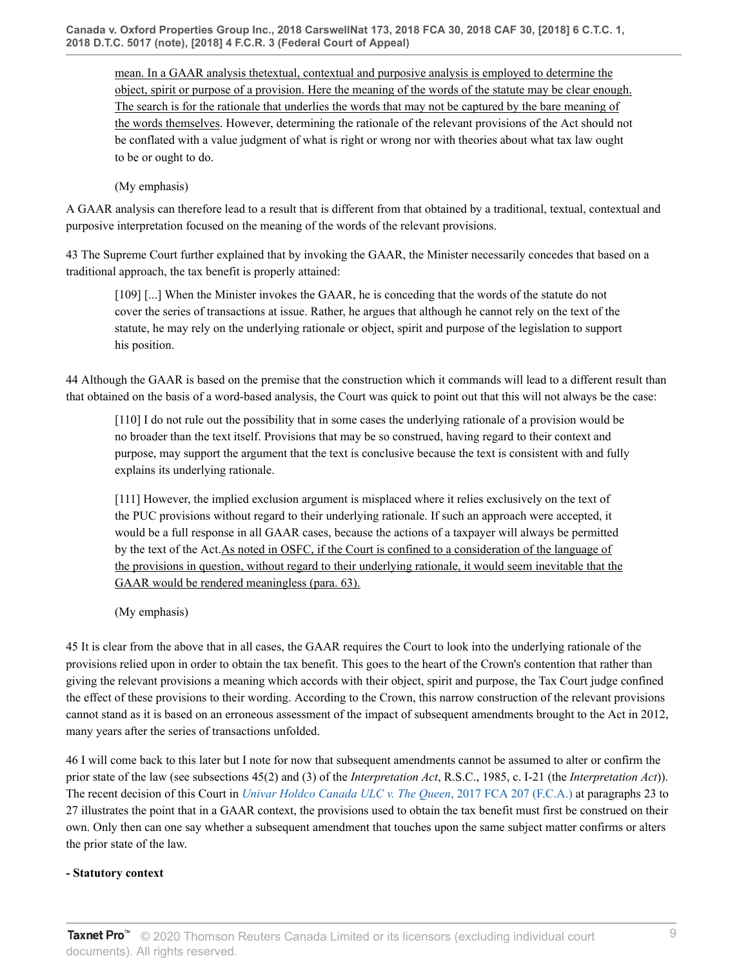mean. In a GAAR analysis thetextual, contextual and purposive analysis is employed to determine the object, spirit or purpose of a provision. Here the meaning of the words of the statute may be clear enough. The search is for the rationale that underlies the words that may not be captured by the bare meaning of the words themselves. However, determining the rationale of the relevant provisions of the Act should not be conflated with a value judgment of what is right or wrong nor with theories about what tax law ought to be or ought to do.

(My emphasis)

A GAAR analysis can therefore lead to a result that is different from that obtained by a traditional, textual, contextual and purposive interpretation focused on the meaning of the words of the relevant provisions.

43 The Supreme Court further explained that by invoking the GAAR, the Minister necessarily concedes that based on a traditional approach, the tax benefit is properly attained:

[109] [...] When the Minister invokes the GAAR, he is conceding that the words of the statute do not cover the series of transactions at issue. Rather, he argues that although he cannot rely on the text of the statute, he may rely on the underlying rationale or object, spirit and purpose of the legislation to support his position.

44 Although the GAAR is based on the premise that the construction which it commands will lead to a different result than that obtained on the basis of a word-based analysis, the Court was quick to point out that this will not always be the case:

[110] I do not rule out the possibility that in some cases the underlying rationale of a provision would be no broader than the text itself. Provisions that may be so construed, having regard to their context and purpose, may support the argument that the text is conclusive because the text is consistent with and fully explains its underlying rationale.

[111] However, the implied exclusion argument is misplaced where it relies exclusively on the text of the PUC provisions without regard to their underlying rationale. If such an approach were accepted, it would be a full response in all GAAR cases, because the actions of a taxpayer will always be permitted by the text of the Act.As noted in OSFC, if the Court is confined to a consideration of the language of the provisions in question, without regard to their underlying rationale, it would seem inevitable that the GAAR would be rendered meaningless (para. 63).

(My emphasis)

45 It is clear from the above that in all cases, the GAAR requires the Court to look into the underlying rationale of the provisions relied upon in order to obtain the tax benefit. This goes to the heart of the Crown's contention that rather than giving the relevant provisions a meaning which accords with their object, spirit and purpose, the Tax Court judge confined the effect of these provisions to their wording. According to the Crown, this narrow construction of the relevant provisions cannot stand as it is based on an erroneous assessment of the impact of subsequent amendments brought to the Act in 2012, many years after the series of transactions unfolded.

46 I will come back to this later but I note for now that subsequent amendments cannot be assumed to alter or confirm the prior state of the law (see subsections 45(2) and (3) of the *Interpretation Act*, R.S.C., 1985, c. I-21 (the *Interpretation Act*)). The recent decision of this Court in *[Univar Holdco Canada ULC v. The Queen](http://v3.taxnetpro.com/Document/I5bd31f367dbf3f96e0540021280d7cce/View/FullText.html?originationContext=document&vr=3.0&rs=cblt1.0&transitionType=DocumentItem&contextData=(sc.Search))*, 2017 FCA 207 (F.C.A.) at paragraphs 23 to 27 illustrates the point that in a GAAR context, the provisions used to obtain the tax benefit must first be construed on their own. Only then can one say whether a subsequent amendment that touches upon the same subject matter confirms or alters the prior state of the law.

### **- Statutory context**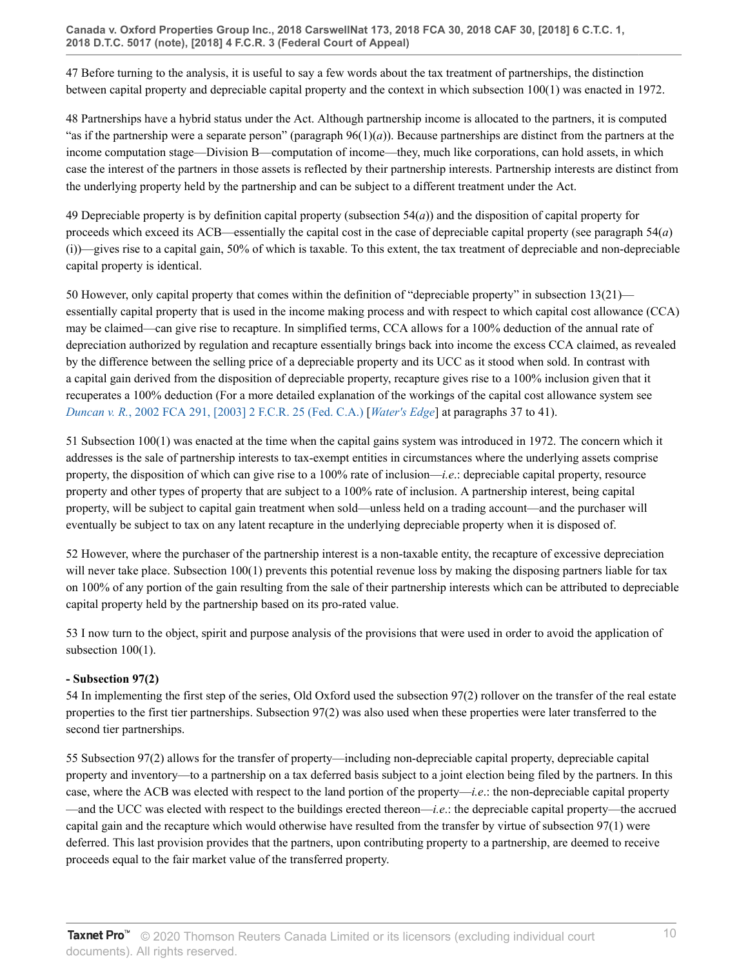47 Before turning to the analysis, it is useful to say a few words about the tax treatment of partnerships, the distinction between capital property and depreciable capital property and the context in which subsection 100(1) was enacted in 1972.

48 Partnerships have a hybrid status under the Act. Although partnership income is allocated to the partners, it is computed "as if the partnership were a separate person" (paragraph  $96(1)(a)$ ). Because partnerships are distinct from the partners at the income computation stage—Division B—computation of income—they, much like corporations, can hold assets, in which case the interest of the partners in those assets is reflected by their partnership interests. Partnership interests are distinct from the underlying property held by the partnership and can be subject to a different treatment under the Act.

49 Depreciable property is by definition capital property (subsection 54(*a*)) and the disposition of capital property for proceeds which exceed its ACB—essentially the capital cost in the case of depreciable capital property (see paragraph 54(*a*) (i))—gives rise to a capital gain, 50% of which is taxable. To this extent, the tax treatment of depreciable and non-depreciable capital property is identical.

50 However, only capital property that comes within the definition of "depreciable property" in subsection 13(21) essentially capital property that is used in the income making process and with respect to which capital cost allowance (CCA) may be claimed—can give rise to recapture. In simplified terms, CCA allows for a 100% deduction of the annual rate of depreciation authorized by regulation and recapture essentially brings back into income the excess CCA claimed, as revealed by the difference between the selling price of a depreciable property and its UCC as it stood when sold. In contrast with a capital gain derived from the disposition of depreciable property, recapture gives rise to a 100% inclusion given that it recuperates a 100% deduction (For a more detailed explanation of the workings of the capital cost allowance system see *Duncan v. R.*[, 2002 FCA 291, \[2003\] 2 F.C.R. 25 \(Fed. C.A.\)](http://v3.taxnetpro.com/Document/I8d7d9393d13b5dece0440003ba833f85/View/FullText.html?originationContext=document&vr=3.0&rs=cblt1.0&transitionType=DocumentItem&contextData=(sc.Search)) [*[Water's Edge](http://v3.taxnetpro.com/Document/I8d7d9393d13b5dece0440003ba833f85/View/FullText.html?originationContext=document&vr=3.0&rs=cblt1.0&transitionType=DocumentItem&contextData=(sc.Search))*] at paragraphs 37 to 41).

51 Subsection 100(1) was enacted at the time when the capital gains system was introduced in 1972. The concern which it addresses is the sale of partnership interests to tax-exempt entities in circumstances where the underlying assets comprise property, the disposition of which can give rise to a 100% rate of inclusion—*i.e*.: depreciable capital property, resource property and other types of property that are subject to a 100% rate of inclusion. A partnership interest, being capital property, will be subject to capital gain treatment when sold—unless held on a trading account—and the purchaser will eventually be subject to tax on any latent recapture in the underlying depreciable property when it is disposed of.

52 However, where the purchaser of the partnership interest is a non-taxable entity, the recapture of excessive depreciation will never take place. Subsection 100(1) prevents this potential revenue loss by making the disposing partners liable for tax on 100% of any portion of the gain resulting from the sale of their partnership interests which can be attributed to depreciable capital property held by the partnership based on its pro-rated value.

53 I now turn to the object, spirit and purpose analysis of the provisions that were used in order to avoid the application of subsection  $100(1)$ .

### **- Subsection 97(2)**

54 In implementing the first step of the series, Old Oxford used the subsection 97(2) rollover on the transfer of the real estate properties to the first tier partnerships. Subsection 97(2) was also used when these properties were later transferred to the second tier partnerships.

55 Subsection 97(2) allows for the transfer of property—including non-depreciable capital property, depreciable capital property and inventory—to a partnership on a tax deferred basis subject to a joint election being filed by the partners. In this case, where the ACB was elected with respect to the land portion of the property—*i.e*.: the non-depreciable capital property —and the UCC was elected with respect to the buildings erected thereon—*i.e*.: the depreciable capital property—the accrued capital gain and the recapture which would otherwise have resulted from the transfer by virtue of subsection 97(1) were deferred. This last provision provides that the partners, upon contributing property to a partnership, are deemed to receive proceeds equal to the fair market value of the transferred property.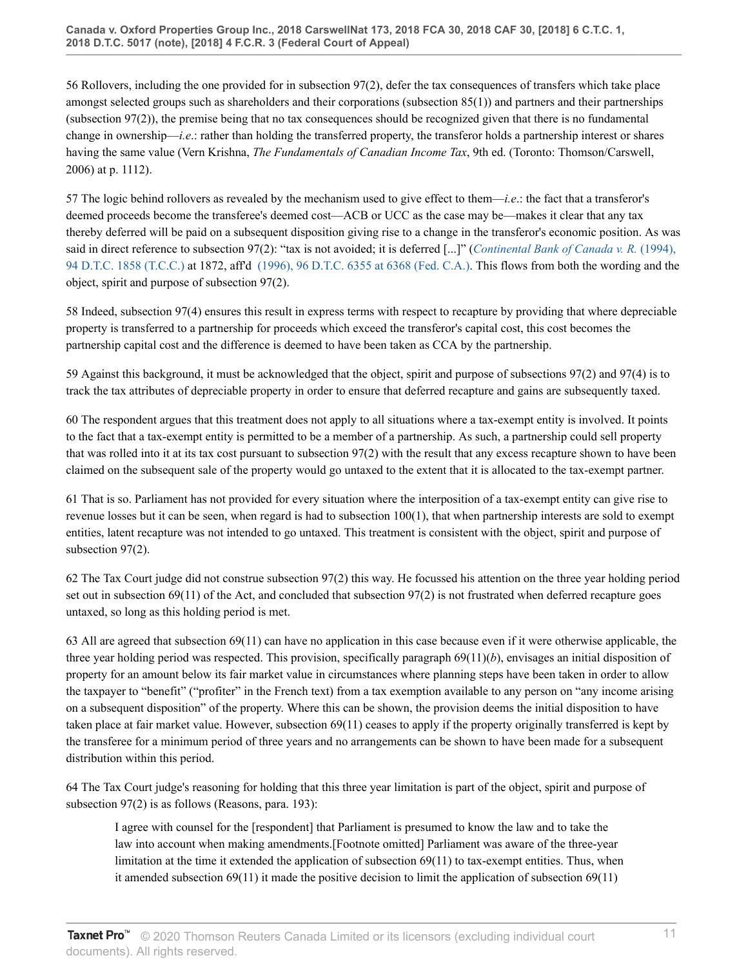56 Rollovers, including the one provided for in subsection 97(2), defer the tax consequences of transfers which take place amongst selected groups such as shareholders and their corporations (subsection 85(1)) and partners and their partnerships (subsection 97(2)), the premise being that no tax consequences should be recognized given that there is no fundamental change in ownership—*i.e*.: rather than holding the transferred property, the transferor holds a partnership interest or shares having the same value (Vern Krishna, *The Fundamentals of Canadian Income Tax*, 9th ed. (Toronto: Thomson/Carswell, 2006) at p. 1112).

57 The logic behind rollovers as revealed by the mechanism used to give effect to them—*i.e*.: the fact that a transferor's deemed proceeds become the transferee's deemed cost—ACB or UCC as the case may be—makes it clear that any tax thereby deferred will be paid on a subsequent disposition giving rise to a change in the transferor's economic position. As was said in direct reference to subsection 97(2): "tax is not avoided; it is deferred [...]" (*[Continental Bank of Canada v. R.](http://v3.taxnetpro.com/Document/I8d7d93943bdd5dece0440003ba833f85/View/FullText.html?originationContext=document&vr=3.0&rs=cblt1.0&transitionType=DocumentItem&contextData=(sc.Search))* (1994), [94 D.T.C. 1858 \(T.C.C.\)](http://v3.taxnetpro.com/Document/I8d7d93943bdd5dece0440003ba833f85/View/FullText.html?originationContext=document&vr=3.0&rs=cblt1.0&transitionType=DocumentItem&contextData=(sc.Search)) at 1872, aff'd [\(1996\), 96 D.T.C. 6355 at 6368 \(Fed. C.A.\).](http://v3.taxnetpro.com/Document/I8d7d93941f7f5dece0440003ba833f85/View/FullText.html?originationContext=document&vr=3.0&rs=cblt1.0&transitionType=DocumentItem&contextData=(sc.Search)) This flows from both the wording and the object, spirit and purpose of subsection 97(2).

58 Indeed, subsection 97(4) ensures this result in express terms with respect to recapture by providing that where depreciable property is transferred to a partnership for proceeds which exceed the transferor's capital cost, this cost becomes the partnership capital cost and the difference is deemed to have been taken as CCA by the partnership.

59 Against this background, it must be acknowledged that the object, spirit and purpose of subsections 97(2) and 97(4) is to track the tax attributes of depreciable property in order to ensure that deferred recapture and gains are subsequently taxed.

60 The respondent argues that this treatment does not apply to all situations where a tax-exempt entity is involved. It points to the fact that a tax-exempt entity is permitted to be a member of a partnership. As such, a partnership could sell property that was rolled into it at its tax cost pursuant to subsection 97(2) with the result that any excess recapture shown to have been claimed on the subsequent sale of the property would go untaxed to the extent that it is allocated to the tax-exempt partner.

61 That is so. Parliament has not provided for every situation where the interposition of a tax-exempt entity can give rise to revenue losses but it can be seen, when regard is had to subsection  $100(1)$ , that when partnership interests are sold to exempt entities, latent recapture was not intended to go untaxed. This treatment is consistent with the object, spirit and purpose of subsection 97(2).

62 The Tax Court judge did not construe subsection 97(2) this way. He focussed his attention on the three year holding period set out in subsection  $69(11)$  of the Act, and concluded that subsection  $97(2)$  is not frustrated when deferred recapture goes untaxed, so long as this holding period is met.

63 All are agreed that subsection 69(11) can have no application in this case because even if it were otherwise applicable, the three year holding period was respected. This provision, specifically paragraph 69(11)(*b*), envisages an initial disposition of property for an amount below its fair market value in circumstances where planning steps have been taken in order to allow the taxpayer to "benefit" ("profiter" in the French text) from a tax exemption available to any person on "any income arising on a subsequent disposition" of the property. Where this can be shown, the provision deems the initial disposition to have taken place at fair market value. However, subsection 69(11) ceases to apply if the property originally transferred is kept by the transferee for a minimum period of three years and no arrangements can be shown to have been made for a subsequent distribution within this period.

64 The Tax Court judge's reasoning for holding that this three year limitation is part of the object, spirit and purpose of subsection 97(2) is as follows (Reasons, para. 193):

I agree with counsel for the [respondent] that Parliament is presumed to know the law and to take the law into account when making amendments.[Footnote omitted] Parliament was aware of the three-year limitation at the time it extended the application of subsection 69(11) to tax-exempt entities. Thus, when it amended subsection  $69(11)$  it made the positive decision to limit the application of subsection  $69(11)$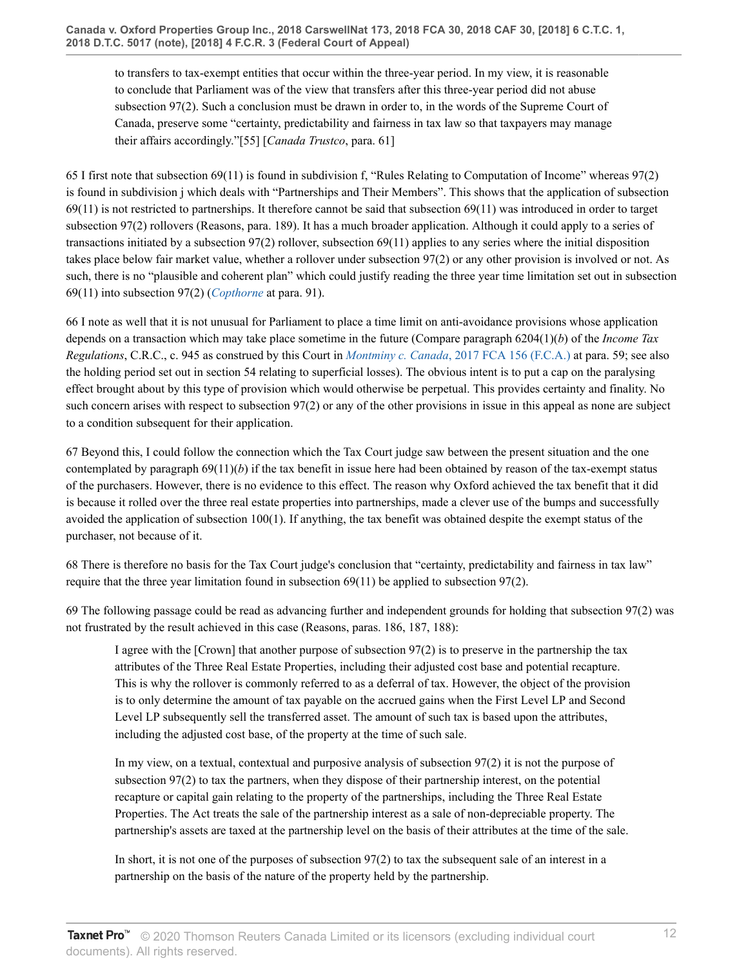to transfers to tax-exempt entities that occur within the three-year period. In my view, it is reasonable to conclude that Parliament was of the view that transfers after this three-year period did not abuse subsection 97(2). Such a conclusion must be drawn in order to, in the words of the Supreme Court of Canada, preserve some "certainty, predictability and fairness in tax law so that taxpayers may manage their affairs accordingly."[55] [*Canada Trustco*, para. 61]

65 I first note that subsection 69(11) is found in subdivision f, "Rules Relating to Computation of Income" whereas 97(2) is found in subdivision j which deals with "Partnerships and Their Members". This shows that the application of subsection  $69(11)$  is not restricted to partnerships. It therefore cannot be said that subsection  $69(11)$  was introduced in order to target subsection 97(2) rollovers (Reasons, para. 189). It has a much broader application. Although it could apply to a series of transactions initiated by a subsection 97(2) rollover, subsection 69(11) applies to any series where the initial disposition takes place below fair market value, whether a rollover under subsection 97(2) or any other provision is involved or not. As such, there is no "plausible and coherent plan" which could justify reading the three year time limitation set out in subsection 69(11) into subsection 97(2) (*[Copthorne](http://v3.taxnetpro.com/Document/Ib6468171105f07f8e0440021280d79ee/View/FullText.html?originationContext=document&vr=3.0&rs=cblt1.0&transitionType=DocumentItem&contextData=(sc.Search))* at para. 91).

66 I note as well that it is not unusual for Parliament to place a time limit on anti-avoidance provisions whose application depends on a transaction which may take place sometime in the future (Compare paragraph 6204(1)(*b*) of the *Income Tax Regulations*, C.R.C., c. 945 as construed by this Court in *Montminy c. Canada*[, 2017 FCA 156 \(F.C.A.\)](http://v3.taxnetpro.com/Document/I552a0b53117a6fbae0540021280d7cce/View/FullText.html?originationContext=document&vr=3.0&rs=cblt1.0&transitionType=DocumentItem&contextData=(sc.Search)) at para. 59; see also the holding period set out in section 54 relating to superficial losses). The obvious intent is to put a cap on the paralysing effect brought about by this type of provision which would otherwise be perpetual. This provides certainty and finality. No such concern arises with respect to subsection 97(2) or any of the other provisions in issue in this appeal as none are subject to a condition subsequent for their application.

67 Beyond this, I could follow the connection which the Tax Court judge saw between the present situation and the one contemplated by paragraph  $69(11)$ (*b*) if the tax benefit in issue here had been obtained by reason of the tax-exempt status of the purchasers. However, there is no evidence to this effect. The reason why Oxford achieved the tax benefit that it did is because it rolled over the three real estate properties into partnerships, made a clever use of the bumps and successfully avoided the application of subsection  $100(1)$ . If anything, the tax benefit was obtained despite the exempt status of the purchaser, not because of it.

68 There is therefore no basis for the Tax Court judge's conclusion that "certainty, predictability and fairness in tax law" require that the three year limitation found in subsection  $69(11)$  be applied to subsection  $97(2)$ .

69 The following passage could be read as advancing further and independent grounds for holding that subsection 97(2) was not frustrated by the result achieved in this case (Reasons, paras. 186, 187, 188):

I agree with the [Crown] that another purpose of subsection 97(2) is to preserve in the partnership the tax attributes of the Three Real Estate Properties, including their adjusted cost base and potential recapture. This is why the rollover is commonly referred to as a deferral of tax. However, the object of the provision is to only determine the amount of tax payable on the accrued gains when the First Level LP and Second Level LP subsequently sell the transferred asset. The amount of such tax is based upon the attributes, including the adjusted cost base, of the property at the time of such sale.

In my view, on a textual, contextual and purposive analysis of subsection 97(2) it is not the purpose of subsection 97(2) to tax the partners, when they dispose of their partnership interest, on the potential recapture or capital gain relating to the property of the partnerships, including the Three Real Estate Properties. The Act treats the sale of the partnership interest as a sale of non-depreciable property. The partnership's assets are taxed at the partnership level on the basis of their attributes at the time of the sale.

In short, it is not one of the purposes of subsection 97(2) to tax the subsequent sale of an interest in a partnership on the basis of the nature of the property held by the partnership.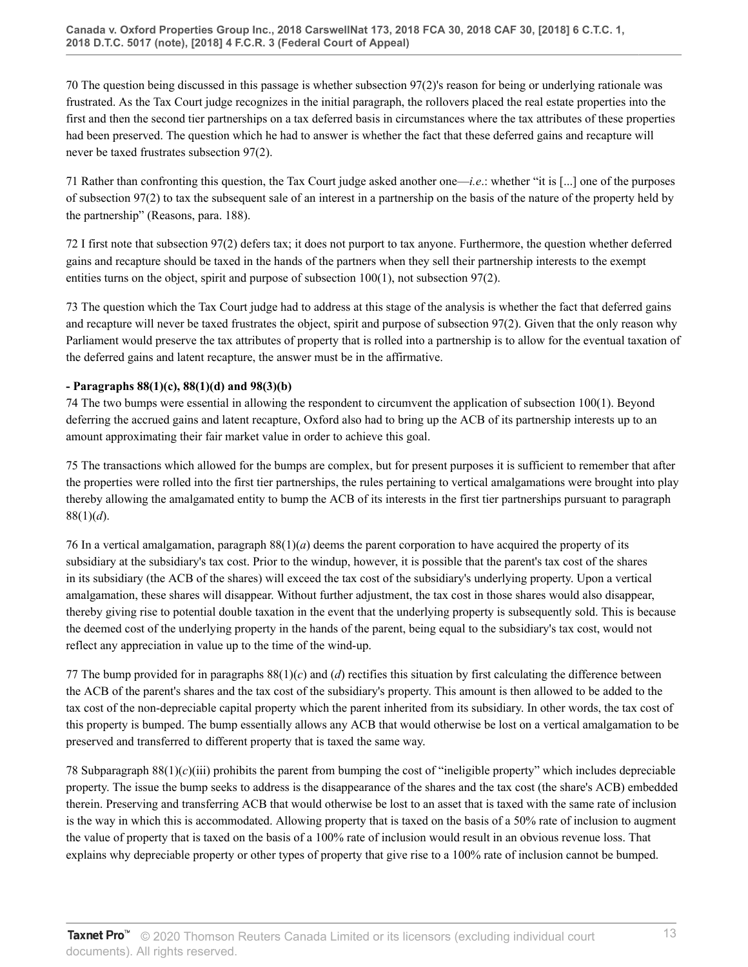70 The question being discussed in this passage is whether subsection 97(2)'s reason for being or underlying rationale was frustrated. As the Tax Court judge recognizes in the initial paragraph, the rollovers placed the real estate properties into the first and then the second tier partnerships on a tax deferred basis in circumstances where the tax attributes of these properties had been preserved. The question which he had to answer is whether the fact that these deferred gains and recapture will never be taxed frustrates subsection 97(2).

71 Rather than confronting this question, the Tax Court judge asked another one—*i.e*.: whether "it is [...] one of the purposes of subsection 97(2) to tax the subsequent sale of an interest in a partnership on the basis of the nature of the property held by the partnership" (Reasons, para. 188).

72 I first note that subsection 97(2) defers tax; it does not purport to tax anyone. Furthermore, the question whether deferred gains and recapture should be taxed in the hands of the partners when they sell their partnership interests to the exempt entities turns on the object, spirit and purpose of subsection  $100(1)$ , not subsection  $97(2)$ .

73 The question which the Tax Court judge had to address at this stage of the analysis is whether the fact that deferred gains and recapture will never be taxed frustrates the object, spirit and purpose of subsection 97(2). Given that the only reason why Parliament would preserve the tax attributes of property that is rolled into a partnership is to allow for the eventual taxation of the deferred gains and latent recapture, the answer must be in the affirmative.

## **- Paragraphs 88(1)(c), 88(1)(d) and 98(3)(b)**

74 The two bumps were essential in allowing the respondent to circumvent the application of subsection 100(1). Beyond deferring the accrued gains and latent recapture, Oxford also had to bring up the ACB of its partnership interests up to an amount approximating their fair market value in order to achieve this goal.

75 The transactions which allowed for the bumps are complex, but for present purposes it is sufficient to remember that after the properties were rolled into the first tier partnerships, the rules pertaining to vertical amalgamations were brought into play thereby allowing the amalgamated entity to bump the ACB of its interests in the first tier partnerships pursuant to paragraph 88(1)(*d*).

76 In a vertical amalgamation, paragraph 88(1)(*a*) deems the parent corporation to have acquired the property of its subsidiary at the subsidiary's tax cost. Prior to the windup, however, it is possible that the parent's tax cost of the shares in its subsidiary (the ACB of the shares) will exceed the tax cost of the subsidiary's underlying property. Upon a vertical amalgamation, these shares will disappear. Without further adjustment, the tax cost in those shares would also disappear, thereby giving rise to potential double taxation in the event that the underlying property is subsequently sold. This is because the deemed cost of the underlying property in the hands of the parent, being equal to the subsidiary's tax cost, would not reflect any appreciation in value up to the time of the wind-up.

77 The bump provided for in paragraphs  $88(1)(c)$  and (*d*) rectifies this situation by first calculating the difference between the ACB of the parent's shares and the tax cost of the subsidiary's property. This amount is then allowed to be added to the tax cost of the non-depreciable capital property which the parent inherited from its subsidiary. In other words, the tax cost of this property is bumped. The bump essentially allows any ACB that would otherwise be lost on a vertical amalgamation to be preserved and transferred to different property that is taxed the same way.

78 Subparagraph 88(1)(*c*)(iii) prohibits the parent from bumping the cost of "ineligible property" which includes depreciable property. The issue the bump seeks to address is the disappearance of the shares and the tax cost (the share's ACB) embedded therein. Preserving and transferring ACB that would otherwise be lost to an asset that is taxed with the same rate of inclusion is the way in which this is accommodated. Allowing property that is taxed on the basis of a 50% rate of inclusion to augment the value of property that is taxed on the basis of a 100% rate of inclusion would result in an obvious revenue loss. That explains why depreciable property or other types of property that give rise to a 100% rate of inclusion cannot be bumped.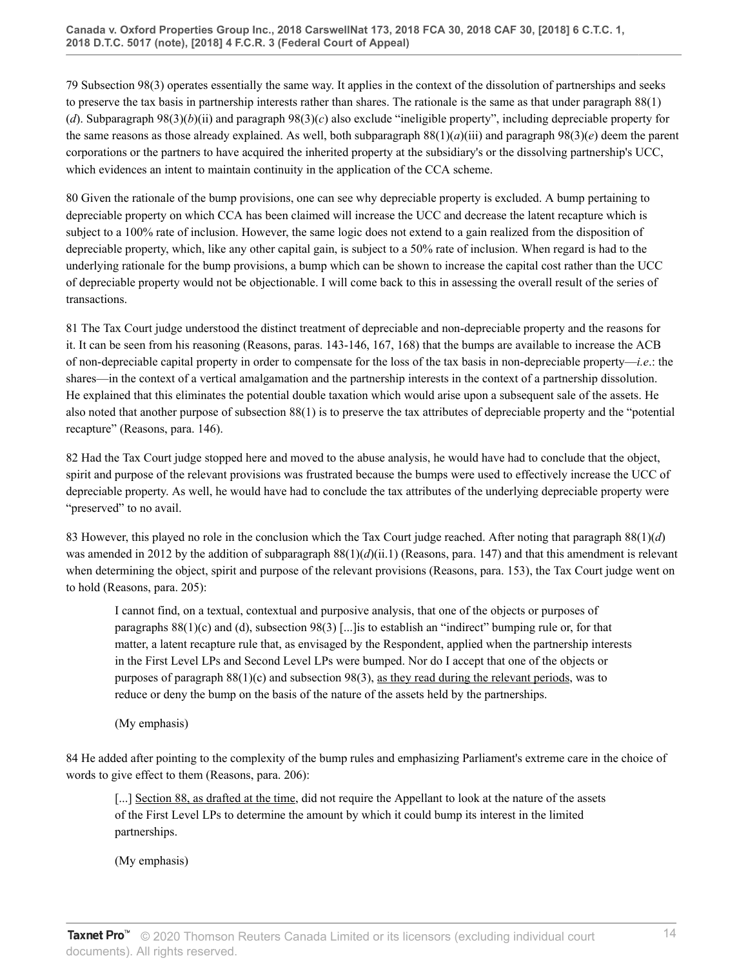79 Subsection 98(3) operates essentially the same way. It applies in the context of the dissolution of partnerships and seeks to preserve the tax basis in partnership interests rather than shares. The rationale is the same as that under paragraph 88(1) (*d*). Subparagraph 98(3)(*b*)(ii) and paragraph 98(3)(*c*) also exclude "ineligible property", including depreciable property for the same reasons as those already explained. As well, both subparagraph  $8(1)(a)(ii)$  and paragraph  $98(3)(e)$  deem the parent corporations or the partners to have acquired the inherited property at the subsidiary's or the dissolving partnership's UCC, which evidences an intent to maintain continuity in the application of the CCA scheme.

80 Given the rationale of the bump provisions, one can see why depreciable property is excluded. A bump pertaining to depreciable property on which CCA has been claimed will increase the UCC and decrease the latent recapture which is subject to a 100% rate of inclusion. However, the same logic does not extend to a gain realized from the disposition of depreciable property, which, like any other capital gain, is subject to a 50% rate of inclusion. When regard is had to the underlying rationale for the bump provisions, a bump which can be shown to increase the capital cost rather than the UCC of depreciable property would not be objectionable. I will come back to this in assessing the overall result of the series of transactions.

81 The Tax Court judge understood the distinct treatment of depreciable and non-depreciable property and the reasons for it. It can be seen from his reasoning (Reasons, paras. 143-146, 167, 168) that the bumps are available to increase the ACB of non-depreciable capital property in order to compensate for the loss of the tax basis in non-depreciable property—*i.e*.: the shares—in the context of a vertical amalgamation and the partnership interests in the context of a partnership dissolution. He explained that this eliminates the potential double taxation which would arise upon a subsequent sale of the assets. He also noted that another purpose of subsection 88(1) is to preserve the tax attributes of depreciable property and the "potential recapture" (Reasons, para. 146).

82 Had the Tax Court judge stopped here and moved to the abuse analysis, he would have had to conclude that the object, spirit and purpose of the relevant provisions was frustrated because the bumps were used to effectively increase the UCC of depreciable property. As well, he would have had to conclude the tax attributes of the underlying depreciable property were "preserved" to no avail.

83 However, this played no role in the conclusion which the Tax Court judge reached. After noting that paragraph 88(1)(*d*) was amended in 2012 by the addition of subparagraph 88(1)(*d*)(ii.1) (Reasons, para. 147) and that this amendment is relevant when determining the object, spirit and purpose of the relevant provisions (Reasons, para. 153), the Tax Court judge went on to hold (Reasons, para. 205):

I cannot find, on a textual, contextual and purposive analysis, that one of the objects or purposes of paragraphs 88(1)(c) and (d), subsection 98(3) [...]is to establish an "indirect" bumping rule or, for that matter, a latent recapture rule that, as envisaged by the Respondent, applied when the partnership interests in the First Level LPs and Second Level LPs were bumped. Nor do I accept that one of the objects or purposes of paragraph  $88(1)(c)$  and subsection  $98(3)$ , as they read during the relevant periods, was to reduce or deny the bump on the basis of the nature of the assets held by the partnerships.

(My emphasis)

84 He added after pointing to the complexity of the bump rules and emphasizing Parliament's extreme care in the choice of words to give effect to them (Reasons, para. 206):

[...] Section 88, as drafted at the time, did not require the Appellant to look at the nature of the assets of the First Level LPs to determine the amount by which it could bump its interest in the limited partnerships.

(My emphasis)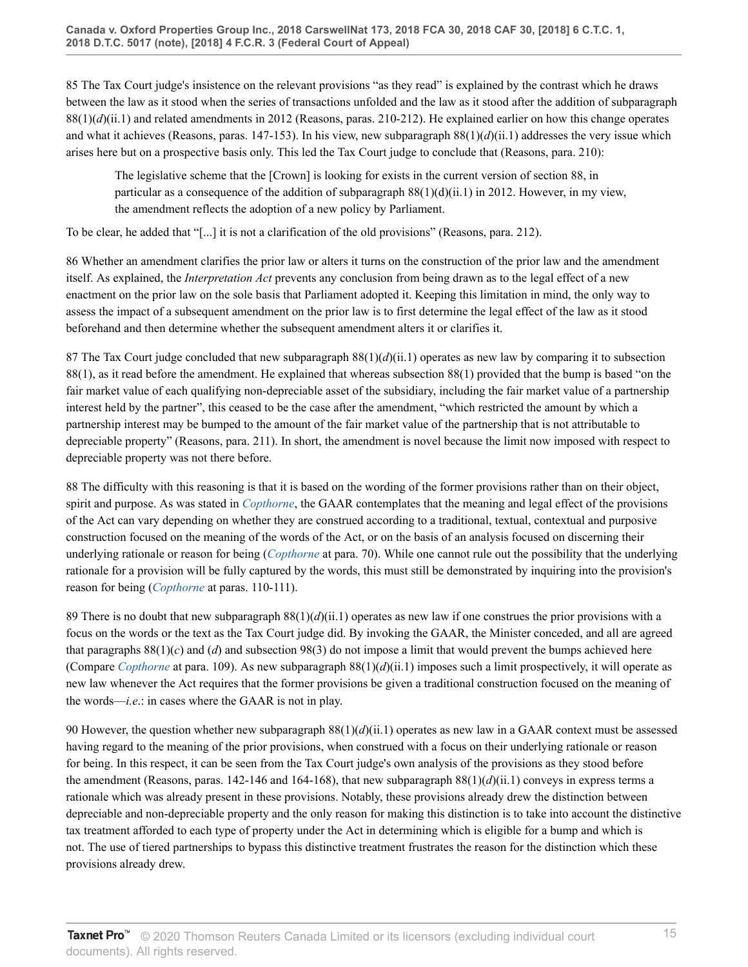85 The Tax Court judge's insistence on the relevant provisions "as they read" is explained by the contrast which he draws between the law as it stood when the series of transactions unfolded and the law as it stood after the addition of subparagraph  $88(1)(d)(ii.1)$  and related amendments in 2012 (Reasons, paras. 210-212). He explained earlier on how this change operates and what it achieves (Reasons, paras. 147-153). In his view, new subparagraph  $88(1)(d)(ii.1)$  addresses the very issue which arises here but on a prospective basis only. This led the Tax Court judge to conclude that (Reasons, para. 210):

The legislative scheme that the [Crown] is looking for exists in the current version of section 88, in particular as a consequence of the addition of subparagraph  $8(1)(d)(ii.1)$  in 2012. However, in my view, the amendment reflects the adoption of a new policy by Parliament.

To be clear, he added that "[...] it is not a clarification of the old provisions" (Reasons, para. 212).

86 Whether an amendment clarifies the prior law or alters it turns on the construction of the prior law and the amendment itself. As explained, the *Interpretation Act* prevents any conclusion from being drawn as to the legal effect of a new enactment on the prior law on the sole basis that Parliament adopted it. Keeping this limitation in mind, the only way to assess the impact of a subsequent amendment on the prior law is to first determine the legal effect of the law as it stood beforehand and then determine whether the subsequent amendment alters it or clarifies it.

87 The Tax Court judge concluded that new subparagraph 88(1)(*d*)(ii.1) operates as new law by comparing it to subsection 88(1), as it read before the amendment. He explained that whereas subsection 88(1) provided that the bump is based "on the fair market value of each qualifying non-depreciable asset of the subsidiary, including the fair market value of a partnership interest held by the partner", this ceased to be the case after the amendment, "which restricted the amount by which a partnership interest may be bumped to the amount of the fair market value of the partnership that is not attributable to depreciable property" (Reasons, para. 211). In short, the amendment is novel because the limit now imposed with respect to depreciable property was not there before.

88 The difficulty with this reasoning is that it is based on the wording of the former provisions rather than on their object, spirit and purpose. As was stated in *[Copthorne](http://v3.taxnetpro.com/Document/Ib6468171105f07f8e0440021280d79ee/View/FullText.html?originationContext=document&vr=3.0&rs=cblt1.0&transitionType=DocumentItem&contextData=(sc.Search))*, the GAAR contemplates that the meaning and legal effect of the provisions of the Act can vary depending on whether they are construed according to a traditional, textual, contextual and purposive construction focused on the meaning of the words of the Act, or on the basis of an analysis focused on discerning their underlying rationale or reason for being (*[Copthorne](http://v3.taxnetpro.com/Document/Ib6468171105f07f8e0440021280d79ee/View/FullText.html?originationContext=document&vr=3.0&rs=cblt1.0&transitionType=DocumentItem&contextData=(sc.Search))* at para. 70). While one cannot rule out the possibility that the underlying rationale for a provision will be fully captured by the words, this must still be demonstrated by inquiring into the provision's reason for being (*[Copthorne](http://v3.taxnetpro.com/Document/Ib6468171105f07f8e0440021280d79ee/View/FullText.html?originationContext=document&vr=3.0&rs=cblt1.0&transitionType=DocumentItem&contextData=(sc.Search))* at paras. 110-111).

89 There is no doubt that new subparagraph  $88(1)(d)(i)$ . (*d*)(*ii.1*) operates as new law if one construes the prior provisions with a focus on the words or the text as the Tax Court judge did. By invoking the GAAR, the Minister conceded, and all are agreed that paragraphs  $88(1)(c)$  and (*d*) and subsection  $98(3)$  do not impose a limit that would prevent the bumps achieved here (Compare *[Copthorne](http://v3.taxnetpro.com/Document/Ib6468171105f07f8e0440021280d79ee/View/FullText.html?originationContext=document&vr=3.0&rs=cblt1.0&transitionType=DocumentItem&contextData=(sc.Search))* at para. 109). As new subparagraph 88(1)(*d*)(ii.1) imposes such a limit prospectively, it will operate as new law whenever the Act requires that the former provisions be given a traditional construction focused on the meaning of the words—*i.e*.: in cases where the GAAR is not in play.

90 However, the question whether new subparagraph 88(1)(*d*)(ii.1) operates as new law in a GAAR context must be assessed having regard to the meaning of the prior provisions, when construed with a focus on their underlying rationale or reason for being. In this respect, it can be seen from the Tax Court judge's own analysis of the provisions as they stood before the amendment (Reasons, paras. 142-146 and 164-168), that new subparagraph  $88(1)(d)(ii.1)$  conveys in express terms a rationale which was already present in these provisions. Notably, these provisions already drew the distinction between depreciable and non-depreciable property and the only reason for making this distinction is to take into account the distinctive tax treatment afforded to each type of property under the Act in determining which is eligible for a bump and which is not. The use of tiered partnerships to bypass this distinctive treatment frustrates the reason for the distinction which these provisions already drew.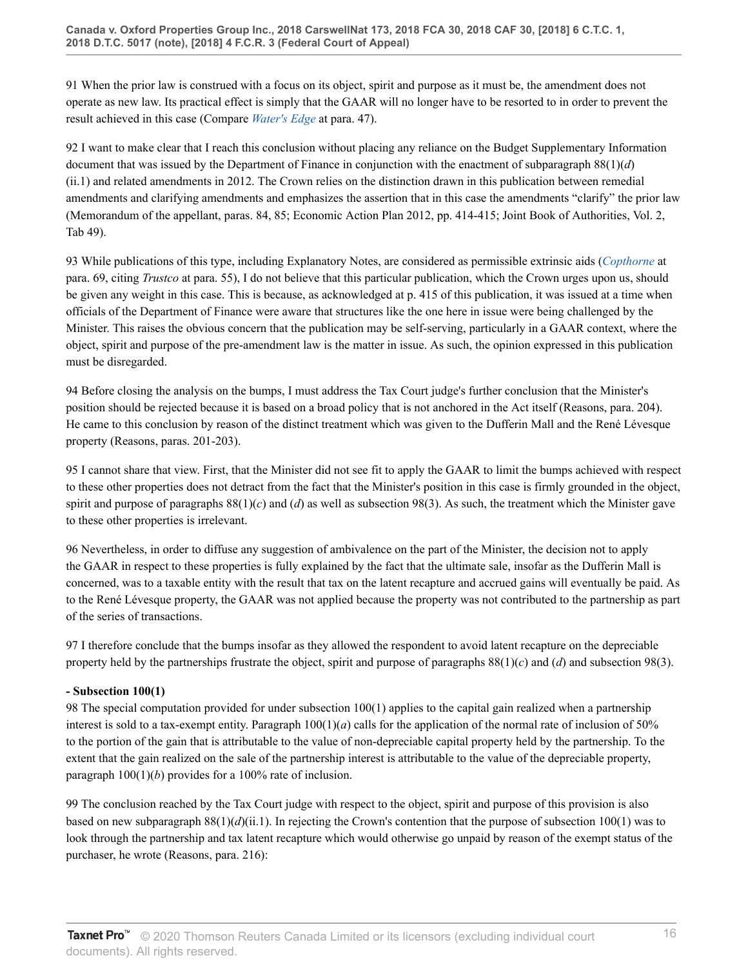91 When the prior law is construed with a focus on its object, spirit and purpose as it must be, the amendment does not operate as new law. Its practical effect is simply that the GAAR will no longer have to be resorted to in order to prevent the result achieved in this case (Compare *[Water's Edge](http://v3.taxnetpro.com/Document/I8d7d9393d13b5dece0440003ba833f85/View/FullText.html?originationContext=document&vr=3.0&rs=cblt1.0&transitionType=DocumentItem&contextData=(sc.Search))* at para. 47).

92 I want to make clear that I reach this conclusion without placing any reliance on the Budget Supplementary Information document that was issued by the Department of Finance in conjunction with the enactment of subparagraph 88(1)(*d*) (ii.1) and related amendments in 2012. The Crown relies on the distinction drawn in this publication between remedial amendments and clarifying amendments and emphasizes the assertion that in this case the amendments "clarify" the prior law (Memorandum of the appellant, paras. 84, 85; Economic Action Plan 2012, pp. 414-415; Joint Book of Authorities, Vol. 2, Tab 49).

93 While publications of this type, including Explanatory Notes, are considered as permissible extrinsic aids (*[Copthorne](http://v3.taxnetpro.com/Document/Ib6468171105f07f8e0440021280d79ee/View/FullText.html?originationContext=document&vr=3.0&rs=cblt1.0&transitionType=DocumentItem&contextData=(sc.Search))* at para. 69, citing *Trustco* at para. 55), I do not believe that this particular publication, which the Crown urges upon us, should be given any weight in this case. This is because, as acknowledged at p. 415 of this publication, it was issued at a time when officials of the Department of Finance were aware that structures like the one here in issue were being challenged by the Minister. This raises the obvious concern that the publication may be self-serving, particularly in a GAAR context, where the object, spirit and purpose of the pre-amendment law is the matter in issue. As such, the opinion expressed in this publication must be disregarded.

94 Before closing the analysis on the bumps, I must address the Tax Court judge's further conclusion that the Minister's position should be rejected because it is based on a broad policy that is not anchored in the Act itself (Reasons, para. 204). He came to this conclusion by reason of the distinct treatment which was given to the Dufferin Mall and the René Lévesque property (Reasons, paras. 201-203).

95 I cannot share that view. First, that the Minister did not see fit to apply the GAAR to limit the bumps achieved with respect to these other properties does not detract from the fact that the Minister's position in this case is firmly grounded in the object, spirit and purpose of paragraphs  $88(1)(c)$  and  $(d)$  as well as subsection 98(3). As such, the treatment which the Minister gave to these other properties is irrelevant.

96 Nevertheless, in order to diffuse any suggestion of ambivalence on the part of the Minister, the decision not to apply the GAAR in respect to these properties is fully explained by the fact that the ultimate sale, insofar as the Dufferin Mall is concerned, was to a taxable entity with the result that tax on the latent recapture and accrued gains will eventually be paid. As to the René Lévesque property, the GAAR was not applied because the property was not contributed to the partnership as part of the series of transactions.

97 I therefore conclude that the bumps insofar as they allowed the respondent to avoid latent recapture on the depreciable property held by the partnerships frustrate the object, spirit and purpose of paragraphs 88(1)(*c*) and (*d*) and subsection 98(3).

### **- Subsection 100(1)**

98 The special computation provided for under subsection 100(1) applies to the capital gain realized when a partnership interest is sold to a tax-exempt entity. Paragraph 100(1)(*a*) calls for the application of the normal rate of inclusion of 50% to the portion of the gain that is attributable to the value of non-depreciable capital property held by the partnership. To the extent that the gain realized on the sale of the partnership interest is attributable to the value of the depreciable property, paragraph 100(1)(*b*) provides for a 100% rate of inclusion.

99 The conclusion reached by the Tax Court judge with respect to the object, spirit and purpose of this provision is also based on new subparagraph  $88(1)(d)(ii.1)$ . In rejecting the Crown's contention that the purpose of subsection  $100(1)$  was to look through the partnership and tax latent recapture which would otherwise go unpaid by reason of the exempt status of the purchaser, he wrote (Reasons, para. 216):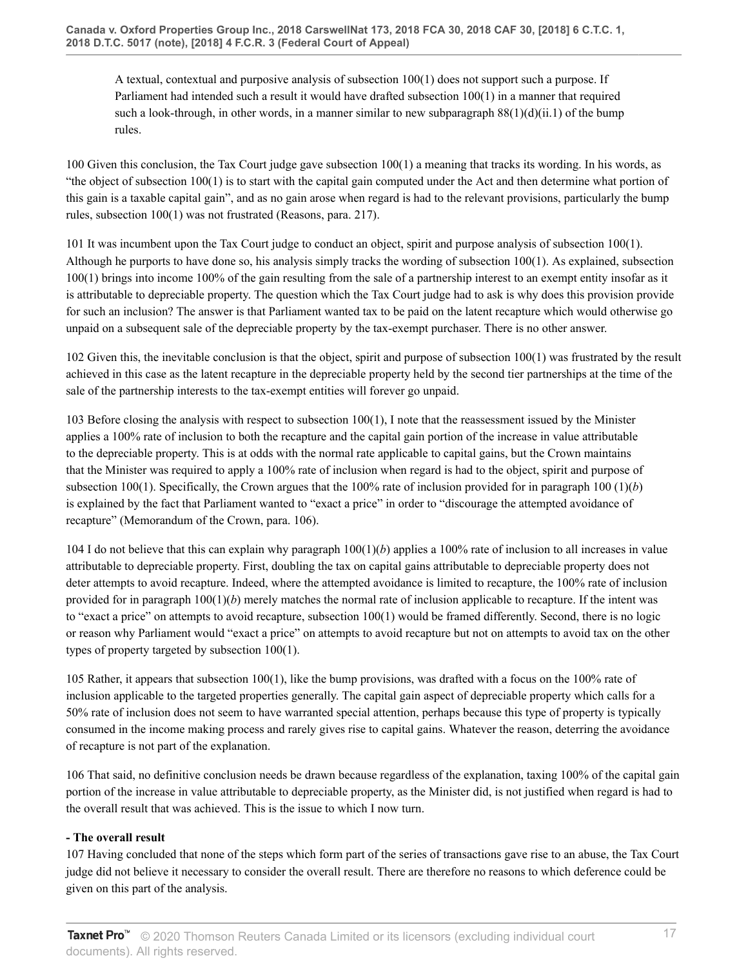A textual, contextual and purposive analysis of subsection 100(1) does not support such a purpose. If Parliament had intended such a result it would have drafted subsection 100(1) in a manner that required such a look-through, in other words, in a manner similar to new subparagraph  $88(1)(d)(ii.1)$  of the bump rules.

100 Given this conclusion, the Tax Court judge gave subsection 100(1) a meaning that tracks its wording. In his words, as "the object of subsection 100(1) is to start with the capital gain computed under the Act and then determine what portion of this gain is a taxable capital gain", and as no gain arose when regard is had to the relevant provisions, particularly the bump rules, subsection 100(1) was not frustrated (Reasons, para. 217).

101 It was incumbent upon the Tax Court judge to conduct an object, spirit and purpose analysis of subsection 100(1). Although he purports to have done so, his analysis simply tracks the wording of subsection 100(1). As explained, subsection 100(1) brings into income 100% of the gain resulting from the sale of a partnership interest to an exempt entity insofar as it is attributable to depreciable property. The question which the Tax Court judge had to ask is why does this provision provide for such an inclusion? The answer is that Parliament wanted tax to be paid on the latent recapture which would otherwise go unpaid on a subsequent sale of the depreciable property by the tax-exempt purchaser. There is no other answer.

102 Given this, the inevitable conclusion is that the object, spirit and purpose of subsection 100(1) was frustrated by the result achieved in this case as the latent recapture in the depreciable property held by the second tier partnerships at the time of the sale of the partnership interests to the tax-exempt entities will forever go unpaid.

103 Before closing the analysis with respect to subsection 100(1), I note that the reassessment issued by the Minister applies a 100% rate of inclusion to both the recapture and the capital gain portion of the increase in value attributable to the depreciable property. This is at odds with the normal rate applicable to capital gains, but the Crown maintains that the Minister was required to apply a 100% rate of inclusion when regard is had to the object, spirit and purpose of subsection 100(1). Specifically, the Crown argues that the 100% rate of inclusion provided for in paragraph 100  $(1)(b)$ is explained by the fact that Parliament wanted to "exact a price" in order to "discourage the attempted avoidance of recapture" (Memorandum of the Crown, para. 106).

104 I do not believe that this can explain why paragraph 100(1)(*b*) applies a 100% rate of inclusion to all increases in value attributable to depreciable property. First, doubling the tax on capital gains attributable to depreciable property does not deter attempts to avoid recapture. Indeed, where the attempted avoidance is limited to recapture, the 100% rate of inclusion provided for in paragraph  $100(1)(b)$  merely matches the normal rate of inclusion applicable to recapture. If the intent was to "exact a price" on attempts to avoid recapture, subsection 100(1) would be framed differently. Second, there is no logic or reason why Parliament would "exact a price" on attempts to avoid recapture but not on attempts to avoid tax on the other types of property targeted by subsection 100(1).

105 Rather, it appears that subsection 100(1), like the bump provisions, was drafted with a focus on the 100% rate of inclusion applicable to the targeted properties generally. The capital gain aspect of depreciable property which calls for a 50% rate of inclusion does not seem to have warranted special attention, perhaps because this type of property is typically consumed in the income making process and rarely gives rise to capital gains. Whatever the reason, deterring the avoidance of recapture is not part of the explanation.

106 That said, no definitive conclusion needs be drawn because regardless of the explanation, taxing 100% of the capital gain portion of the increase in value attributable to depreciable property, as the Minister did, is not justified when regard is had to the overall result that was achieved. This is the issue to which I now turn.

### **- The overall result**

107 Having concluded that none of the steps which form part of the series of transactions gave rise to an abuse, the Tax Court judge did not believe it necessary to consider the overall result. There are therefore no reasons to which deference could be given on this part of the analysis.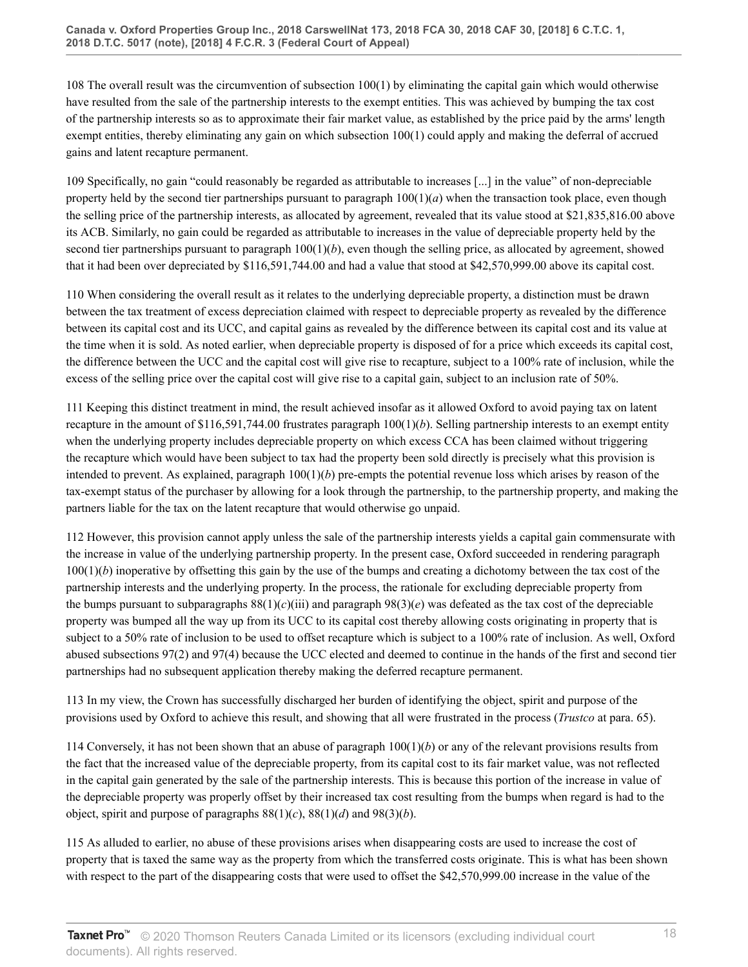108 The overall result was the circumvention of subsection 100(1) by eliminating the capital gain which would otherwise have resulted from the sale of the partnership interests to the exempt entities. This was achieved by bumping the tax cost of the partnership interests so as to approximate their fair market value, as established by the price paid by the arms' length exempt entities, thereby eliminating any gain on which subsection 100(1) could apply and making the deferral of accrued gains and latent recapture permanent.

109 Specifically, no gain "could reasonably be regarded as attributable to increases [...] in the value" of non-depreciable property held by the second tier partnerships pursuant to paragraph  $100(1)(a)$  when the transaction took place, even though the selling price of the partnership interests, as allocated by agreement, revealed that its value stood at \$21,835,816.00 above its ACB. Similarly, no gain could be regarded as attributable to increases in the value of depreciable property held by the second tier partnerships pursuant to paragraph  $100(1)(b)$ , even though the selling price, as allocated by agreement, showed that it had been over depreciated by \$116,591,744.00 and had a value that stood at \$42,570,999.00 above its capital cost.

110 When considering the overall result as it relates to the underlying depreciable property, a distinction must be drawn between the tax treatment of excess depreciation claimed with respect to depreciable property as revealed by the difference between its capital cost and its UCC, and capital gains as revealed by the difference between its capital cost and its value at the time when it is sold. As noted earlier, when depreciable property is disposed of for a price which exceeds its capital cost, the difference between the UCC and the capital cost will give rise to recapture, subject to a 100% rate of inclusion, while the excess of the selling price over the capital cost will give rise to a capital gain, subject to an inclusion rate of 50%.

111 Keeping this distinct treatment in mind, the result achieved insofar as it allowed Oxford to avoid paying tax on latent recapture in the amount of \$116,591,744.00 frustrates paragraph 100(1)(*b*). Selling partnership interests to an exempt entity when the underlying property includes depreciable property on which excess CCA has been claimed without triggering the recapture which would have been subject to tax had the property been sold directly is precisely what this provision is intended to prevent. As explained, paragraph  $100(1)(b)$  pre-empts the potential revenue loss which arises by reason of the tax-exempt status of the purchaser by allowing for a look through the partnership, to the partnership property, and making the partners liable for the tax on the latent recapture that would otherwise go unpaid.

112 However, this provision cannot apply unless the sale of the partnership interests yields a capital gain commensurate with the increase in value of the underlying partnership property. In the present case, Oxford succeeded in rendering paragraph 100(1)(*b*) inoperative by offsetting this gain by the use of the bumps and creating a dichotomy between the tax cost of the partnership interests and the underlying property. In the process, the rationale for excluding depreciable property from the bumps pursuant to subparagraphs  $88(1)(c)(iii)$  and paragraph  $98(3)(e)$  was defeated as the tax cost of the depreciable property was bumped all the way up from its UCC to its capital cost thereby allowing costs originating in property that is subject to a 50% rate of inclusion to be used to offset recapture which is subject to a 100% rate of inclusion. As well, Oxford abused subsections 97(2) and 97(4) because the UCC elected and deemed to continue in the hands of the first and second tier partnerships had no subsequent application thereby making the deferred recapture permanent.

113 In my view, the Crown has successfully discharged her burden of identifying the object, spirit and purpose of the provisions used by Oxford to achieve this result, and showing that all were frustrated in the process (*Trustco* at para. 65).

114 Conversely, it has not been shown that an abuse of paragraph  $100(1)(b)$  or any of the relevant provisions results from the fact that the increased value of the depreciable property, from its capital cost to its fair market value, was not reflected in the capital gain generated by the sale of the partnership interests. This is because this portion of the increase in value of the depreciable property was properly offset by their increased tax cost resulting from the bumps when regard is had to the object, spirit and purpose of paragraphs  $88(1)(c)$ ,  $88(1)(d)$  and  $98(3)(b)$ .

115 As alluded to earlier, no abuse of these provisions arises when disappearing costs are used to increase the cost of property that is taxed the same way as the property from which the transferred costs originate. This is what has been shown with respect to the part of the disappearing costs that were used to offset the \$42,570,999.00 increase in the value of the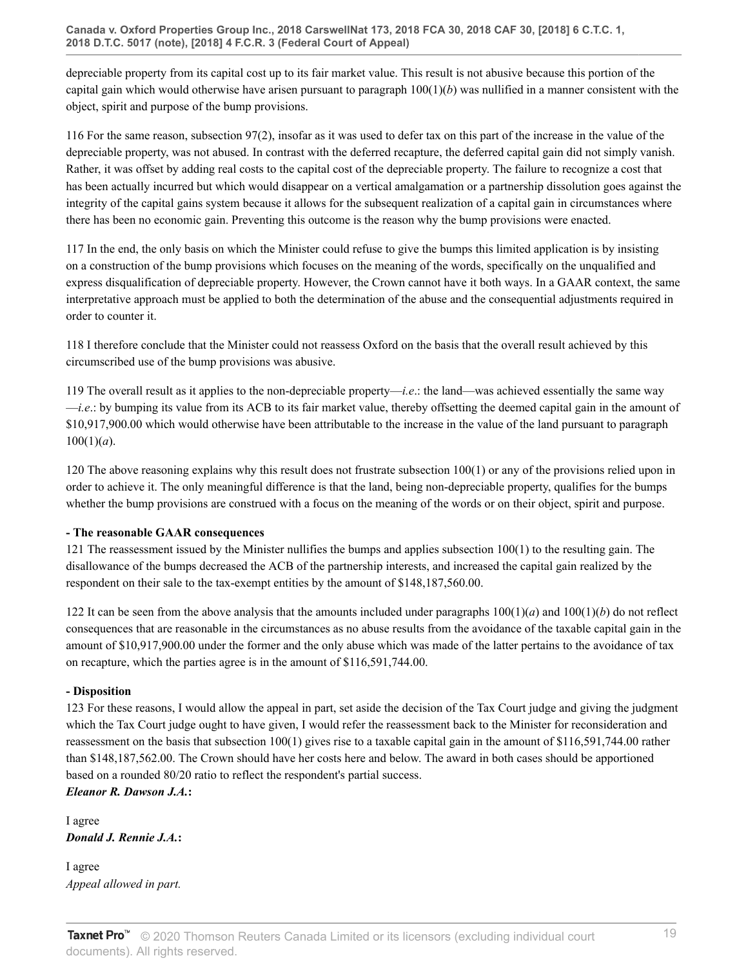depreciable property from its capital cost up to its fair market value. This result is not abusive because this portion of the capital gain which would otherwise have arisen pursuant to paragraph  $100(1)(b)$  was nullified in a manner consistent with the object, spirit and purpose of the bump provisions.

116 For the same reason, subsection 97(2), insofar as it was used to defer tax on this part of the increase in the value of the depreciable property, was not abused. In contrast with the deferred recapture, the deferred capital gain did not simply vanish. Rather, it was offset by adding real costs to the capital cost of the depreciable property. The failure to recognize a cost that has been actually incurred but which would disappear on a vertical amalgamation or a partnership dissolution goes against the integrity of the capital gains system because it allows for the subsequent realization of a capital gain in circumstances where there has been no economic gain. Preventing this outcome is the reason why the bump provisions were enacted.

117 In the end, the only basis on which the Minister could refuse to give the bumps this limited application is by insisting on a construction of the bump provisions which focuses on the meaning of the words, specifically on the unqualified and express disqualification of depreciable property. However, the Crown cannot have it both ways. In a GAAR context, the same interpretative approach must be applied to both the determination of the abuse and the consequential adjustments required in order to counter it.

118 I therefore conclude that the Minister could not reassess Oxford on the basis that the overall result achieved by this circumscribed use of the bump provisions was abusive.

119 The overall result as it applies to the non-depreciable property—*i.e*.: the land—was achieved essentially the same way —*i.e*.: by bumping its value from its ACB to its fair market value, thereby offsetting the deemed capital gain in the amount of \$10,917,900.00 which would otherwise have been attributable to the increase in the value of the land pursuant to paragraph  $100(1)(a)$ .

120 The above reasoning explains why this result does not frustrate subsection 100(1) or any of the provisions relied upon in order to achieve it. The only meaningful difference is that the land, being non-depreciable property, qualifies for the bumps whether the bump provisions are construed with a focus on the meaning of the words or on their object, spirit and purpose.

### **- The reasonable GAAR consequences**

121 The reassessment issued by the Minister nullifies the bumps and applies subsection 100(1) to the resulting gain. The disallowance of the bumps decreased the ACB of the partnership interests, and increased the capital gain realized by the respondent on their sale to the tax-exempt entities by the amount of \$148,187,560.00.

122 It can be seen from the above analysis that the amounts included under paragraphs 100(1)(*a*) and 100(1)(*b*) do not reflect consequences that are reasonable in the circumstances as no abuse results from the avoidance of the taxable capital gain in the amount of \$10,917,900.00 under the former and the only abuse which was made of the latter pertains to the avoidance of tax on recapture, which the parties agree is in the amount of \$116,591,744.00.

### **- Disposition**

123 For these reasons, I would allow the appeal in part, set aside the decision of the Tax Court judge and giving the judgment which the Tax Court judge ought to have given, I would refer the reassessment back to the Minister for reconsideration and reassessment on the basis that subsection 100(1) gives rise to a taxable capital gain in the amount of \$116,591,744.00 rather than \$148,187,562.00. The Crown should have her costs here and below. The award in both cases should be apportioned based on a rounded 80/20 ratio to reflect the respondent's partial success.

*Eleanor R. Dawson J.A.***:**

I agree *Donald J. Rennie J.A.***:**

I agree *Appeal allowed in part.*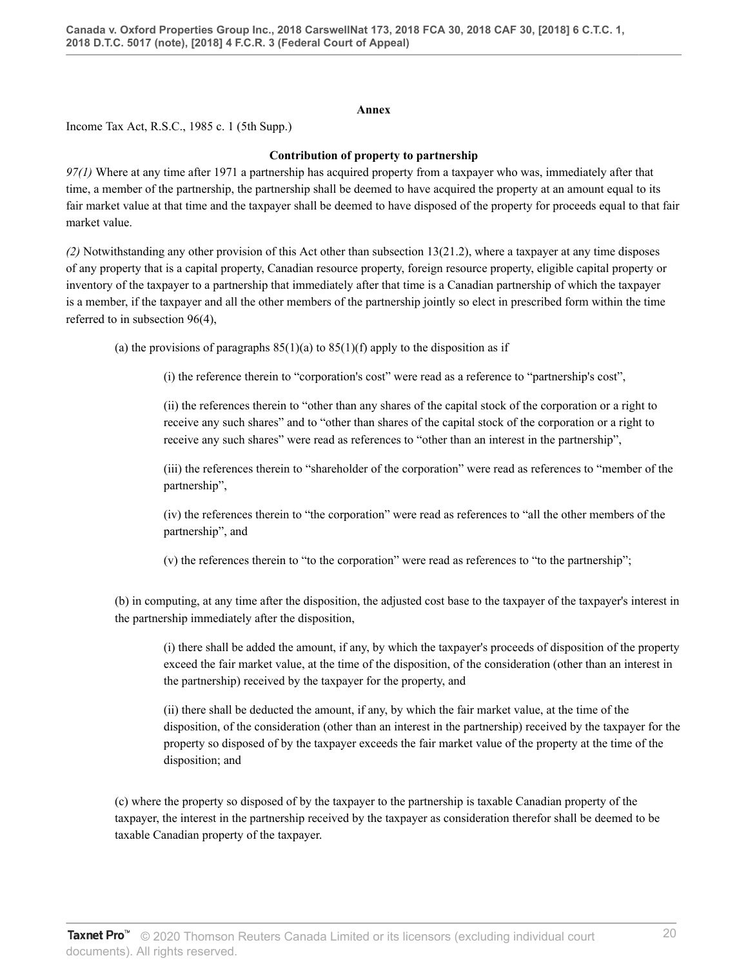#### **Annex**

Income Tax Act, R.S.C., 1985 c. 1 (5th Supp.)

#### **Contribution of property to partnership**

*97(1)* Where at any time after 1971 a partnership has acquired property from a taxpayer who was, immediately after that time, a member of the partnership, the partnership shall be deemed to have acquired the property at an amount equal to its fair market value at that time and the taxpayer shall be deemed to have disposed of the property for proceeds equal to that fair market value.

*(2)* Notwithstanding any other provision of this Act other than subsection 13(21.2), where a taxpayer at any time disposes of any property that is a capital property, Canadian resource property, foreign resource property, eligible capital property or inventory of the taxpayer to a partnership that immediately after that time is a Canadian partnership of which the taxpayer is a member, if the taxpayer and all the other members of the partnership jointly so elect in prescribed form within the time referred to in subsection 96(4),

(a) the provisions of paragraphs  $85(1)(a)$  to  $85(1)(f)$  apply to the disposition as if

(i) the reference therein to "corporation's cost" were read as a reference to "partnership's cost",

(ii) the references therein to "other than any shares of the capital stock of the corporation or a right to receive any such shares" and to "other than shares of the capital stock of the corporation or a right to receive any such shares" were read as references to "other than an interest in the partnership",

(iii) the references therein to "shareholder of the corporation" were read as references to "member of the partnership",

(iv) the references therein to "the corporation" were read as references to "all the other members of the partnership", and

(v) the references therein to "to the corporation" were read as references to "to the partnership";

(b) in computing, at any time after the disposition, the adjusted cost base to the taxpayer of the taxpayer's interest in the partnership immediately after the disposition,

(i) there shall be added the amount, if any, by which the taxpayer's proceeds of disposition of the property exceed the fair market value, at the time of the disposition, of the consideration (other than an interest in the partnership) received by the taxpayer for the property, and

(ii) there shall be deducted the amount, if any, by which the fair market value, at the time of the disposition, of the consideration (other than an interest in the partnership) received by the taxpayer for the property so disposed of by the taxpayer exceeds the fair market value of the property at the time of the disposition; and

(c) where the property so disposed of by the taxpayer to the partnership is taxable Canadian property of the taxpayer, the interest in the partnership received by the taxpayer as consideration therefor shall be deemed to be taxable Canadian property of the taxpayer.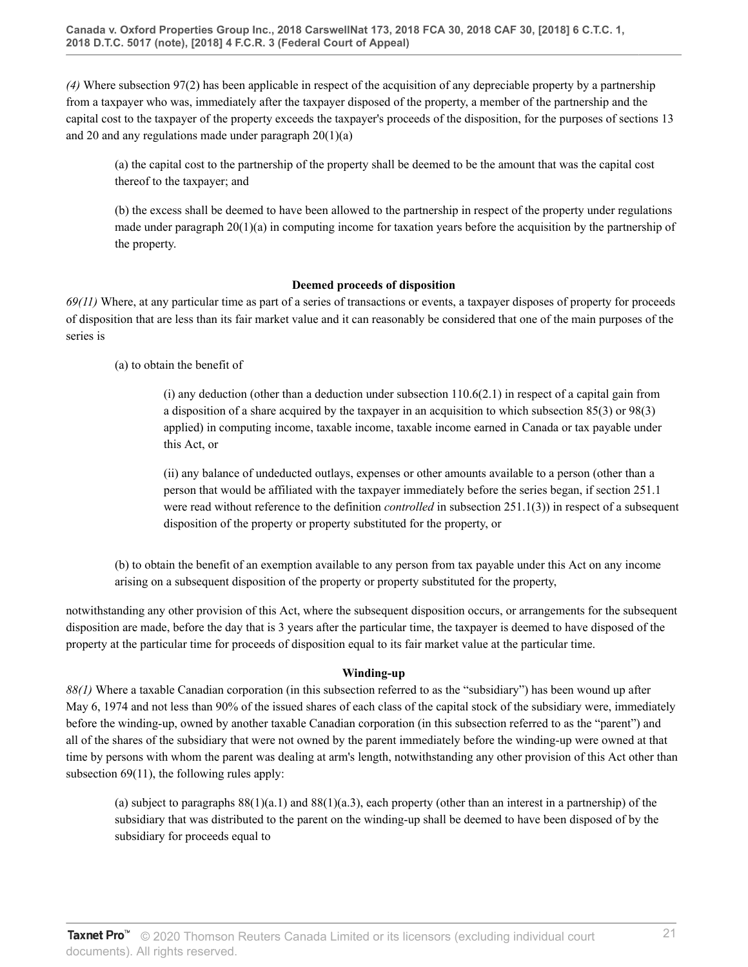*(4)* Where subsection 97(2) has been applicable in respect of the acquisition of any depreciable property by a partnership from a taxpayer who was, immediately after the taxpayer disposed of the property, a member of the partnership and the capital cost to the taxpayer of the property exceeds the taxpayer's proceeds of the disposition, for the purposes of sections 13 and 20 and any regulations made under paragraph 20(1)(a)

(a) the capital cost to the partnership of the property shall be deemed to be the amount that was the capital cost thereof to the taxpayer; and

(b) the excess shall be deemed to have been allowed to the partnership in respect of the property under regulations made under paragraph  $20(1)(a)$  in computing income for taxation years before the acquisition by the partnership of the property.

#### **Deemed proceeds of disposition**

*69(11)* Where, at any particular time as part of a series of transactions or events, a taxpayer disposes of property for proceeds of disposition that are less than its fair market value and it can reasonably be considered that one of the main purposes of the series is

(a) to obtain the benefit of

(i) any deduction (other than a deduction under subsection  $110.6(2.1)$  in respect of a capital gain from a disposition of a share acquired by the taxpayer in an acquisition to which subsection 85(3) or 98(3) applied) in computing income, taxable income, taxable income earned in Canada or tax payable under this Act, or

(ii) any balance of undeducted outlays, expenses or other amounts available to a person (other than a person that would be affiliated with the taxpayer immediately before the series began, if section 251.1 were read without reference to the definition *controlled* in subsection 251.1(3)) in respect of a subsequent disposition of the property or property substituted for the property, or

(b) to obtain the benefit of an exemption available to any person from tax payable under this Act on any income arising on a subsequent disposition of the property or property substituted for the property,

notwithstanding any other provision of this Act, where the subsequent disposition occurs, or arrangements for the subsequent disposition are made, before the day that is 3 years after the particular time, the taxpayer is deemed to have disposed of the property at the particular time for proceeds of disposition equal to its fair market value at the particular time.

#### **Winding-up**

*88(1)* Where a taxable Canadian corporation (in this subsection referred to as the "subsidiary") has been wound up after May 6, 1974 and not less than 90% of the issued shares of each class of the capital stock of the subsidiary were, immediately before the winding-up, owned by another taxable Canadian corporation (in this subsection referred to as the "parent") and all of the shares of the subsidiary that were not owned by the parent immediately before the winding-up were owned at that time by persons with whom the parent was dealing at arm's length, notwithstanding any other provision of this Act other than subsection 69(11), the following rules apply:

(a) subject to paragraphs  $88(1)(a.1)$  and  $88(1)(a.3)$ , each property (other than an interest in a partnership) of the subsidiary that was distributed to the parent on the winding-up shall be deemed to have been disposed of by the subsidiary for proceeds equal to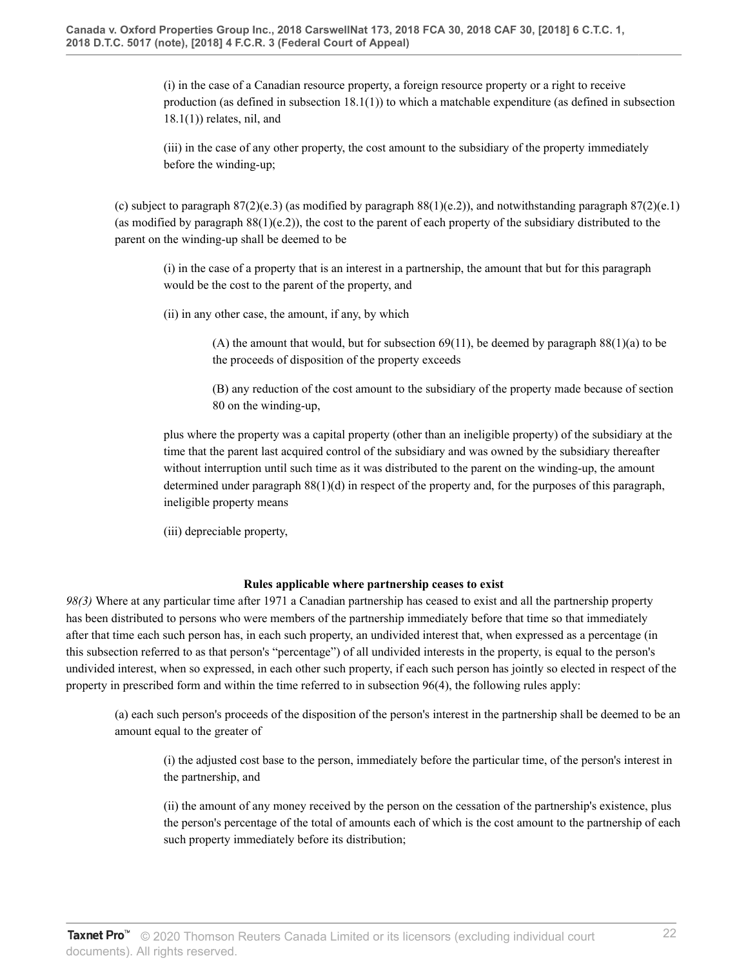(i) in the case of a Canadian resource property, a foreign resource property or a right to receive production (as defined in subsection 18.1(1)) to which a matchable expenditure (as defined in subsection  $18.1(1)$ ) relates, nil, and

(iii) in the case of any other property, the cost amount to the subsidiary of the property immediately before the winding-up;

(c) subject to paragraph  $87(2)(e.3)$  (as modified by paragraph  $88(1)(e.2)$ ), and notwithstanding paragraph  $87(2)(e.1)$ (as modified by paragraph  $88(1)(e.2)$ ), the cost to the parent of each property of the subsidiary distributed to the parent on the winding-up shall be deemed to be

(i) in the case of a property that is an interest in a partnership, the amount that but for this paragraph would be the cost to the parent of the property, and

(ii) in any other case, the amount, if any, by which

(A) the amount that would, but for subsection  $69(11)$ , be deemed by paragraph  $88(1)(a)$  to be the proceeds of disposition of the property exceeds

(B) any reduction of the cost amount to the subsidiary of the property made because of section 80 on the winding-up,

plus where the property was a capital property (other than an ineligible property) of the subsidiary at the time that the parent last acquired control of the subsidiary and was owned by the subsidiary thereafter without interruption until such time as it was distributed to the parent on the winding-up, the amount determined under paragraph 88(1)(d) in respect of the property and, for the purposes of this paragraph, ineligible property means

(iii) depreciable property,

#### **Rules applicable where partnership ceases to exist**

*98(3)* Where at any particular time after 1971 a Canadian partnership has ceased to exist and all the partnership property has been distributed to persons who were members of the partnership immediately before that time so that immediately after that time each such person has, in each such property, an undivided interest that, when expressed as a percentage (in this subsection referred to as that person's "percentage") of all undivided interests in the property, is equal to the person's undivided interest, when so expressed, in each other such property, if each such person has jointly so elected in respect of the property in prescribed form and within the time referred to in subsection 96(4), the following rules apply:

(a) each such person's proceeds of the disposition of the person's interest in the partnership shall be deemed to be an amount equal to the greater of

(i) the adjusted cost base to the person, immediately before the particular time, of the person's interest in the partnership, and

(ii) the amount of any money received by the person on the cessation of the partnership's existence, plus the person's percentage of the total of amounts each of which is the cost amount to the partnership of each such property immediately before its distribution;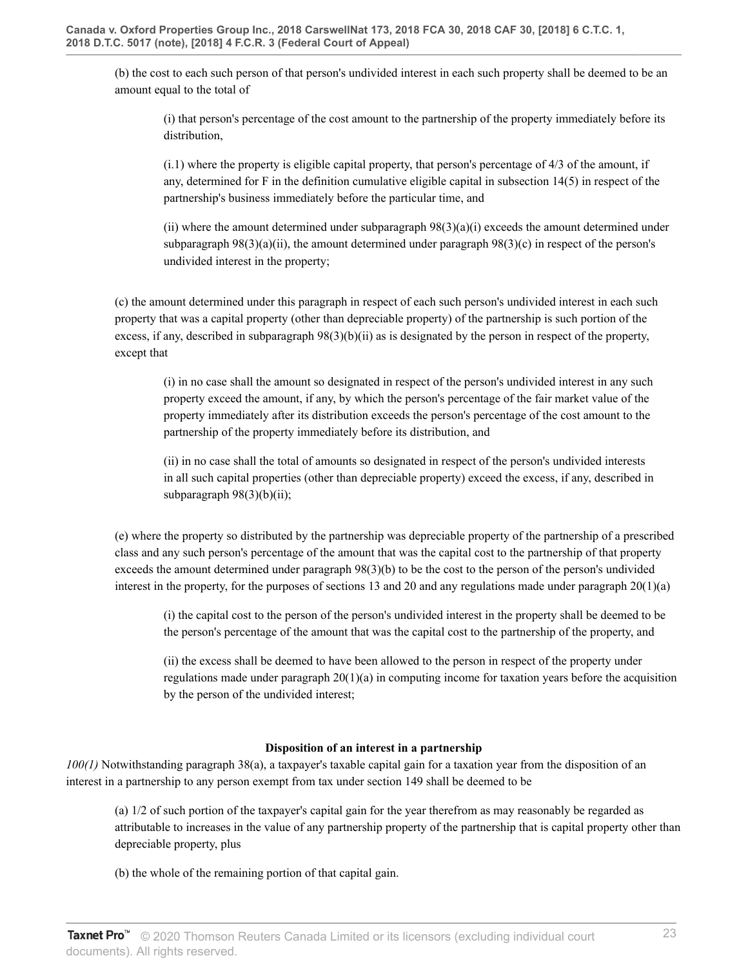(b) the cost to each such person of that person's undivided interest in each such property shall be deemed to be an amount equal to the total of

(i) that person's percentage of the cost amount to the partnership of the property immediately before its distribution,

(i.1) where the property is eligible capital property, that person's percentage of 4/3 of the amount, if any, determined for F in the definition cumulative eligible capital in subsection 14(5) in respect of the partnership's business immediately before the particular time, and

(ii) where the amount determined under subparagraph  $98(3)(a)(i)$  exceeds the amount determined under subparagraph  $98(3)(a)(ii)$ , the amount determined under paragraph  $98(3)(c)$  in respect of the person's undivided interest in the property;

(c) the amount determined under this paragraph in respect of each such person's undivided interest in each such property that was a capital property (other than depreciable property) of the partnership is such portion of the excess, if any, described in subparagraph  $98(3)(b)(ii)$  as is designated by the person in respect of the property, except that

(i) in no case shall the amount so designated in respect of the person's undivided interest in any such property exceed the amount, if any, by which the person's percentage of the fair market value of the property immediately after its distribution exceeds the person's percentage of the cost amount to the partnership of the property immediately before its distribution, and

(ii) in no case shall the total of amounts so designated in respect of the person's undivided interests in all such capital properties (other than depreciable property) exceed the excess, if any, described in subparagraph  $98(3)(b)(ii)$ ;

(e) where the property so distributed by the partnership was depreciable property of the partnership of a prescribed class and any such person's percentage of the amount that was the capital cost to the partnership of that property exceeds the amount determined under paragraph 98(3)(b) to be the cost to the person of the person's undivided interest in the property, for the purposes of sections 13 and 20 and any regulations made under paragraph  $20(1)(a)$ 

(i) the capital cost to the person of the person's undivided interest in the property shall be deemed to be the person's percentage of the amount that was the capital cost to the partnership of the property, and

(ii) the excess shall be deemed to have been allowed to the person in respect of the property under regulations made under paragraph  $20(1)(a)$  in computing income for taxation years before the acquisition by the person of the undivided interest;

### **Disposition of an interest in a partnership**

*100(1)* Notwithstanding paragraph 38(a), a taxpayer's taxable capital gain for a taxation year from the disposition of an interest in a partnership to any person exempt from tax under section 149 shall be deemed to be

(a) 1/2 of such portion of the taxpayer's capital gain for the year therefrom as may reasonably be regarded as attributable to increases in the value of any partnership property of the partnership that is capital property other than depreciable property, plus

(b) the whole of the remaining portion of that capital gain.